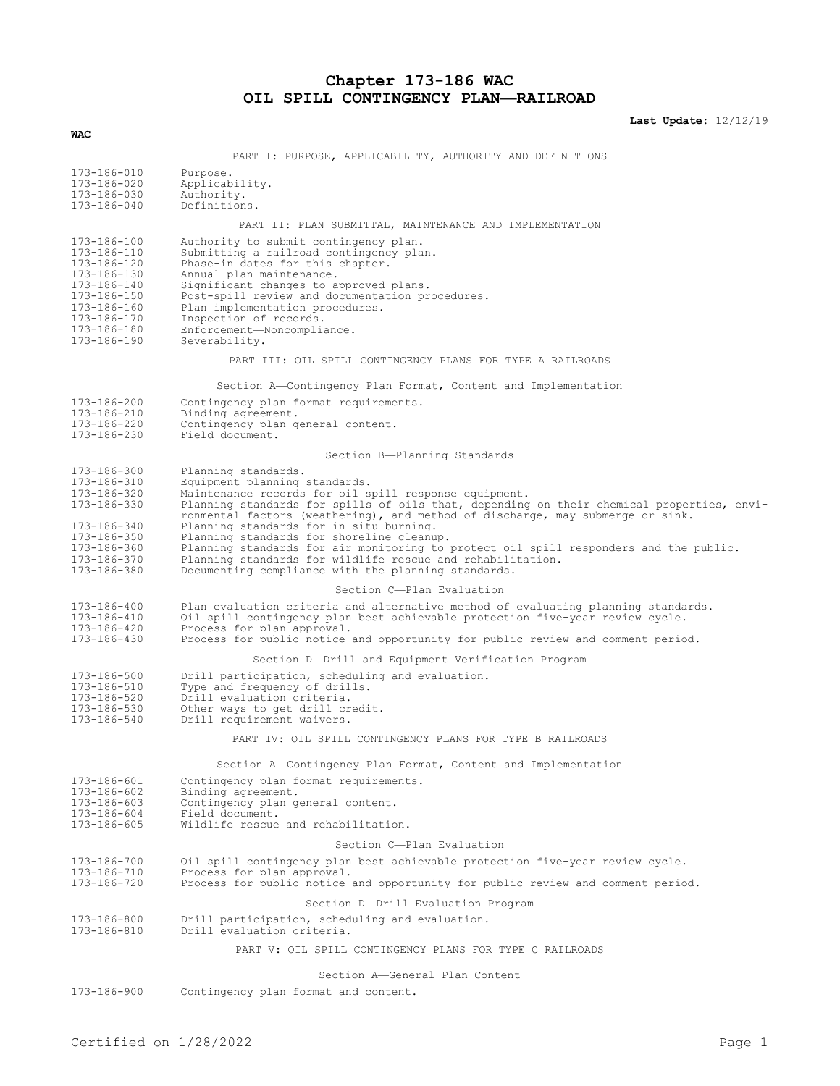# **Chapter 173-186 WAC OIL SPILL CONTINGENCY PLAN—RAILROAD**

**Last Update:** 12/12/19

| <b>WAC</b>                                                                                                                                         |                                                                                                                                                                                                                                                                                                                                                                                                                                                                                                                                                                                                    |
|----------------------------------------------------------------------------------------------------------------------------------------------------|----------------------------------------------------------------------------------------------------------------------------------------------------------------------------------------------------------------------------------------------------------------------------------------------------------------------------------------------------------------------------------------------------------------------------------------------------------------------------------------------------------------------------------------------------------------------------------------------------|
|                                                                                                                                                    | PART I: PURPOSE, APPLICABILITY, AUTHORITY AND DEFINITIONS                                                                                                                                                                                                                                                                                                                                                                                                                                                                                                                                          |
| 173-186-010<br>173-186-020<br>173-186-030<br>173-186-040                                                                                           | Purpose.<br>Applicability.<br>Authority.<br>Definitions.                                                                                                                                                                                                                                                                                                                                                                                                                                                                                                                                           |
|                                                                                                                                                    | PART II: PLAN SUBMITTAL, MAINTENANCE AND IMPLEMENTATION                                                                                                                                                                                                                                                                                                                                                                                                                                                                                                                                            |
| 173-186-100<br>173-186-110<br>173-186-120<br>173-186-130<br>173-186-140<br>173-186-150<br>173-186-160<br>173-186-170<br>173-186-180<br>173-186-190 | Authority to submit contingency plan.<br>Submitting a railroad contingency plan.<br>Phase-in dates for this chapter.<br>Annual plan maintenance.<br>Significant changes to approved plans.<br>Post-spill review and documentation procedures.<br>Plan implementation procedures.<br>Inspection of records.<br>Enforcement-Noncompliance.<br>Severability.                                                                                                                                                                                                                                          |
|                                                                                                                                                    | PART III: OIL SPILL CONTINGENCY PLANS FOR TYPE A RAILROADS                                                                                                                                                                                                                                                                                                                                                                                                                                                                                                                                         |
|                                                                                                                                                    | Section A-Contingency Plan Format, Content and Implementation                                                                                                                                                                                                                                                                                                                                                                                                                                                                                                                                      |
| 173-186-200<br>173-186-210<br>173-186-220<br>173-186-230                                                                                           | Contingency plan format requirements.<br>Binding agreement.<br>Contingency plan general content.<br>Field document.                                                                                                                                                                                                                                                                                                                                                                                                                                                                                |
|                                                                                                                                                    | Section B-Planning Standards                                                                                                                                                                                                                                                                                                                                                                                                                                                                                                                                                                       |
| 173-186-300<br>173-186-310<br>173-186-320<br>173-186-330<br>173-186-340<br>173-186-350<br>173-186-360<br>173-186-370<br>173-186-380                | Planning standards.<br>Equipment planning standards.<br>Maintenance records for oil spill response equipment.<br>Planning standards for spills of oils that, depending on their chemical properties, envi-<br>ronmental factors (weathering), and method of discharge, may submerge or sink.<br>Planning standards for in situ burning.<br>Planning standards for shoreline cleanup.<br>Planning standards for air monitoring to protect oil spill responders and the public.<br>Planning standards for wildlife rescue and rehabilitation.<br>Documenting compliance with the planning standards. |
|                                                                                                                                                    | Section C-Plan Evaluation                                                                                                                                                                                                                                                                                                                                                                                                                                                                                                                                                                          |
| 173-186-400<br>173-186-410<br>173-186-420<br>173-186-430                                                                                           | Plan evaluation criteria and alternative method of evaluating planning standards.<br>Oil spill contingency plan best achievable protection five-year review cycle.<br>Process for plan approval.<br>Process for public notice and opportunity for public review and comment period.                                                                                                                                                                                                                                                                                                                |
|                                                                                                                                                    | Section D--Drill and Equipment Verification Program                                                                                                                                                                                                                                                                                                                                                                                                                                                                                                                                                |
| 173-186-500<br>173-186-510<br>173-186-520<br>173-186-530<br>173-186-540                                                                            | Drill participation, scheduling and evaluation.<br>Type and frequency of drills.<br>Drill evaluation criteria.<br>Other ways to get drill credit.<br>Drill requirement waivers.                                                                                                                                                                                                                                                                                                                                                                                                                    |
|                                                                                                                                                    | PART IV: OIL SPILL CONTINGENCY PLANS FOR TYPE B RAILROADS                                                                                                                                                                                                                                                                                                                                                                                                                                                                                                                                          |
|                                                                                                                                                    | Section A-Contingency Plan Format, Content and Implementation                                                                                                                                                                                                                                                                                                                                                                                                                                                                                                                                      |
| 173-186-601<br>173-186-602<br>173-186-603<br>173-186-604<br>173-186-605                                                                            | Contingency plan format requirements.<br>Binding agreement.<br>Contingency plan general content.<br>Field document.<br>Wildlife rescue and rehabilitation.                                                                                                                                                                                                                                                                                                                                                                                                                                         |
|                                                                                                                                                    | Section C-Plan Evaluation                                                                                                                                                                                                                                                                                                                                                                                                                                                                                                                                                                          |
| 173-186-700<br>173-186-710<br>173-186-720                                                                                                          | Oil spill contingency plan best achievable protection five-year review cycle.<br>Process for plan approval.<br>Process for public notice and opportunity for public review and comment period.                                                                                                                                                                                                                                                                                                                                                                                                     |
|                                                                                                                                                    | Section D-Drill Evaluation Program                                                                                                                                                                                                                                                                                                                                                                                                                                                                                                                                                                 |
| 173-186-800<br>173-186-810                                                                                                                         | Drill participation, scheduling and evaluation.<br>Drill evaluation criteria.                                                                                                                                                                                                                                                                                                                                                                                                                                                                                                                      |
|                                                                                                                                                    | PART V: OIL SPILL CONTINGENCY PLANS FOR TYPE C RAILROADS                                                                                                                                                                                                                                                                                                                                                                                                                                                                                                                                           |
|                                                                                                                                                    | Section A-General Plan Content                                                                                                                                                                                                                                                                                                                                                                                                                                                                                                                                                                     |
| 173-186-900                                                                                                                                        | Contingency plan format and content.                                                                                                                                                                                                                                                                                                                                                                                                                                                                                                                                                               |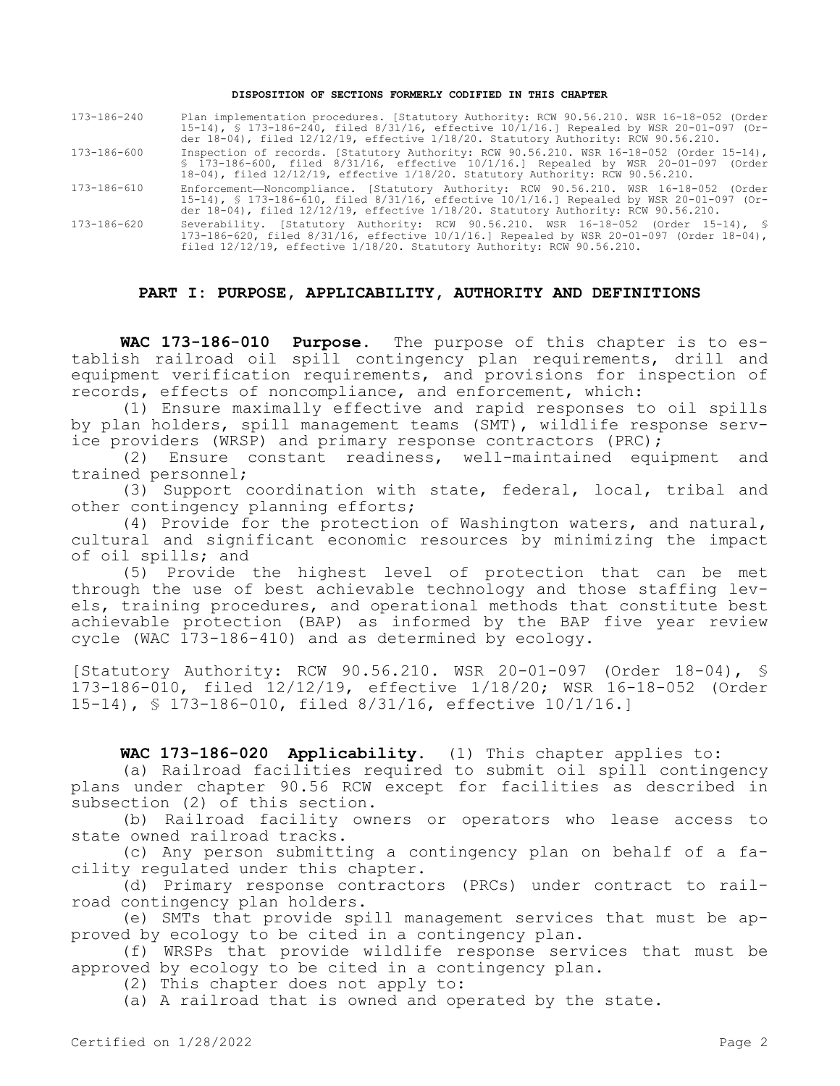#### **DISPOSITION OF SECTIONS FORMERLY CODIFIED IN THIS CHAPTER**

| 173-186-240 | Plan implementation procedures. [Statutory Authority: RCW 90.56.210. WSR 16-18-052 (Order                                                                                                                                                                                    |
|-------------|------------------------------------------------------------------------------------------------------------------------------------------------------------------------------------------------------------------------------------------------------------------------------|
|             | 15-14), § 173-186-240, filed 8/31/16, effective 10/1/16.] Repealed by WSR 20-01-097 (Or-                                                                                                                                                                                     |
|             | der 18-04), filed $12/12/19$ , effective $1/18/20$ . Statutory Authority: RCW 90.56.210.                                                                                                                                                                                     |
| 173-186-600 | Inspection of records. [Statutory Authority: RCW 90.56.210. WSR 16-18-052 (Order 15-14),                                                                                                                                                                                     |
|             | $$173-186-600$ , filed $8/31/16$ , effective $10/1/16$ . Repealed by WSR 20-01-097 (Order<br>18-04), filed 12/12/19, effective 1/18/20. Statutory Authority: RCW 90.56.210.                                                                                                  |
| 173-186-610 | Enforcement-Noncompliance. [Statutory Authority: RCW 90.56.210. WSR 16-18-052 (Order<br>15-14), § 173-186-610, filed 8/31/16, effective 10/1/16.] Repealed by WSR 20-01-097 (Or-<br>der 18-04), filed $12/12/19$ , effective $1/18/20$ . Statutory Authority: RCW 90.56.210. |
| 173-186-620 | Severability. [Statutory Authority: RCW 90.56.210. WSR 16-18-052 (Order 15-14), §<br>173-186-620, filed $8/31/16$ , effective $10/1/16$ .] Repealed by WSR 20-01-097 (Order 18-04),                                                                                          |

#### **PART I: PURPOSE, APPLICABILITY, AUTHORITY AND DEFINITIONS**

filed 12/12/19, effective 1/18/20. Statutory Authority: RCW 90.56.210.

**WAC 173-186-010 Purpose.** The purpose of this chapter is to establish railroad oil spill contingency plan requirements, drill and equipment verification requirements, and provisions for inspection of records, effects of noncompliance, and enforcement, which:

(1) Ensure maximally effective and rapid responses to oil spills by plan holders, spill management teams (SMT), wildlife response service providers (WRSP) and primary response contractors (PRC);

(2) Ensure constant readiness, well-maintained equipment and trained personnel;

(3) Support coordination with state, federal, local, tribal and other contingency planning efforts;

(4) Provide for the protection of Washington waters, and natural, cultural and significant economic resources by minimizing the impact of oil spills; and

(5) Provide the highest level of protection that can be met through the use of best achievable technology and those staffing levels, training procedures, and operational methods that constitute best achievable protection (BAP) as informed by the BAP five year review cycle (WAC 173-186-410) and as determined by ecology.

[Statutory Authority: RCW 90.56.210. WSR 20-01-097 (Order 18-04), § 173-186-010, filed 12/12/19, effective 1/18/20; WSR 16-18-052 (Order 15-14), § 173-186-010, filed 8/31/16, effective 10/1/16.]

# **WAC 173-186-020 Applicability.** (1) This chapter applies to:

(a) Railroad facilities required to submit oil spill contingency plans under chapter 90.56 RCW except for facilities as described in subsection (2) of this section.

(b) Railroad facility owners or operators who lease access to state owned railroad tracks.

(c) Any person submitting a contingency plan on behalf of a facility regulated under this chapter.

(d) Primary response contractors (PRCs) under contract to railroad contingency plan holders.

(e) SMTs that provide spill management services that must be approved by ecology to be cited in a contingency plan.

(f) WRSPs that provide wildlife response services that must be approved by ecology to be cited in a contingency plan.

(2) This chapter does not apply to:

(a) A railroad that is owned and operated by the state.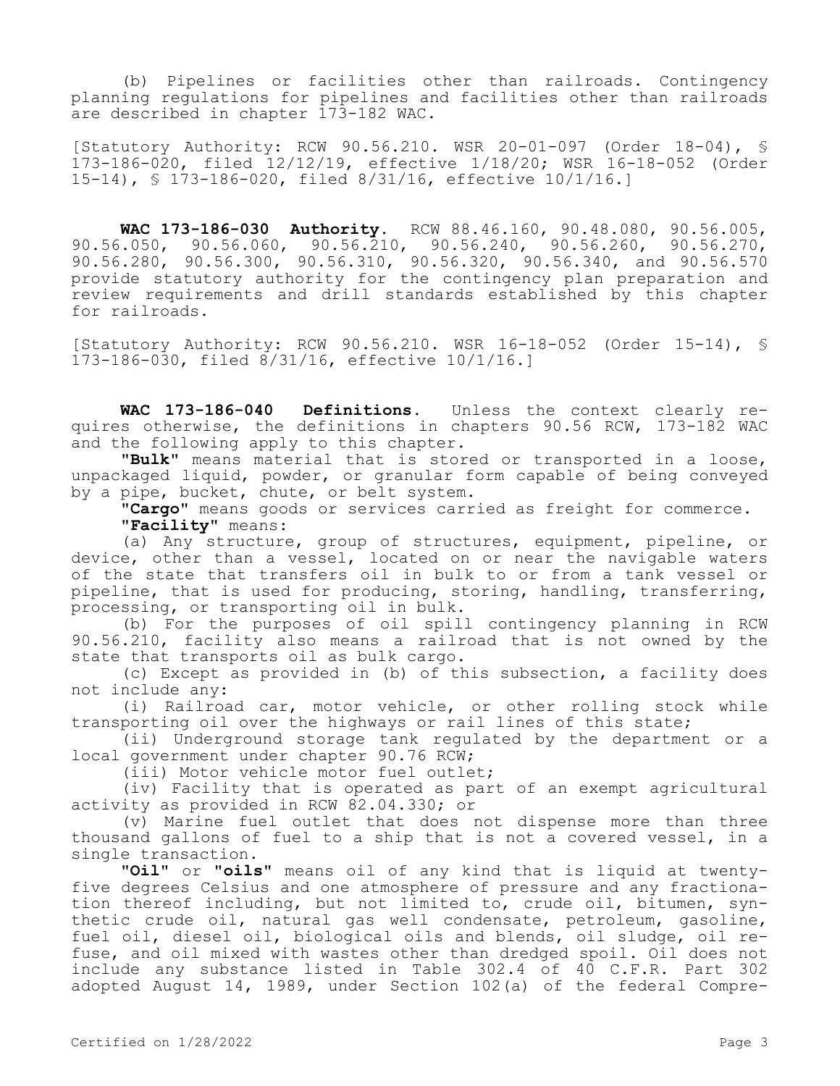(b) Pipelines or facilities other than railroads. Contingency planning regulations for pipelines and facilities other than railroads are described in chapter 173-182 WAC.

[Statutory Authority: RCW 90.56.210. WSR 20-01-097 (Order 18-04), § 173-186-020, filed 12/12/19, effective 1/18/20; WSR 16-18-052 (Order 15-14), § 173-186-020, filed 8/31/16, effective 10/1/16.]

**WAC 173-186-030 Authority.** RCW 88.46.160, 90.48.080, 90.56.005, 90.56.050, 90.56.060, 90.56.210, 90.56.240, 90.56.260, 90.56.270, 90.56.280, 90.56.300, 90.56.310, 90.56.320, 90.56.340, and 90.56.570 provide statutory authority for the contingency plan preparation and review requirements and drill standards established by this chapter for railroads.

[Statutory Authority: RCW 90.56.210. WSR 16-18-052 (Order 15-14), § 173-186-030, filed 8/31/16, effective 10/1/16.]

**WAC 173-186-040 Definitions.** Unless the context clearly requires otherwise, the definitions in chapters 90.56 RCW, 173-182 WAC and the following apply to this chapter.

**"Bulk"** means material that is stored or transported in a loose, unpackaged liquid, powder, or granular form capable of being conveyed by a pipe, bucket, chute, or belt system.

**"Cargo"** means goods or services carried as freight for commerce. **"Facility"** means:

(a) Any structure, group of structures, equipment, pipeline, or device, other than a vessel, located on or near the navigable waters of the state that transfers oil in bulk to or from a tank vessel or pipeline, that is used for producing, storing, handling, transferring, processing, or transporting oil in bulk.

(b) For the purposes of oil spill contingency planning in RCW 90.56.210, facility also means a railroad that is not owned by the state that transports oil as bulk cargo.

(c) Except as provided in (b) of this subsection, a facility does not include any:

(i) Railroad car, motor vehicle, or other rolling stock while transporting oil over the highways or rail lines of this state;

(ii) Underground storage tank regulated by the department or a local government under chapter 90.76 RCW;

(iii) Motor vehicle motor fuel outlet;

(iv) Facility that is operated as part of an exempt agricultural activity as provided in RCW 82.04.330; or

(v) Marine fuel outlet that does not dispense more than three thousand gallons of fuel to a ship that is not a covered vessel, in a single transaction.

**"Oil"** or **"oils"** means oil of any kind that is liquid at twentyfive degrees Celsius and one atmosphere of pressure and any fractionation thereof including, but not limited to, crude oil, bitumen, synthetic crude oil, natural gas well condensate, petroleum, gasoline, fuel oil, diesel oil, biological oils and blends, oil sludge, oil refuse, and oil mixed with wastes other than dredged spoil. Oil does not include any substance listed in Table 302.4 of 40 C.F.R. Part 302 adopted August 14, 1989, under Section 102(a) of the federal Compre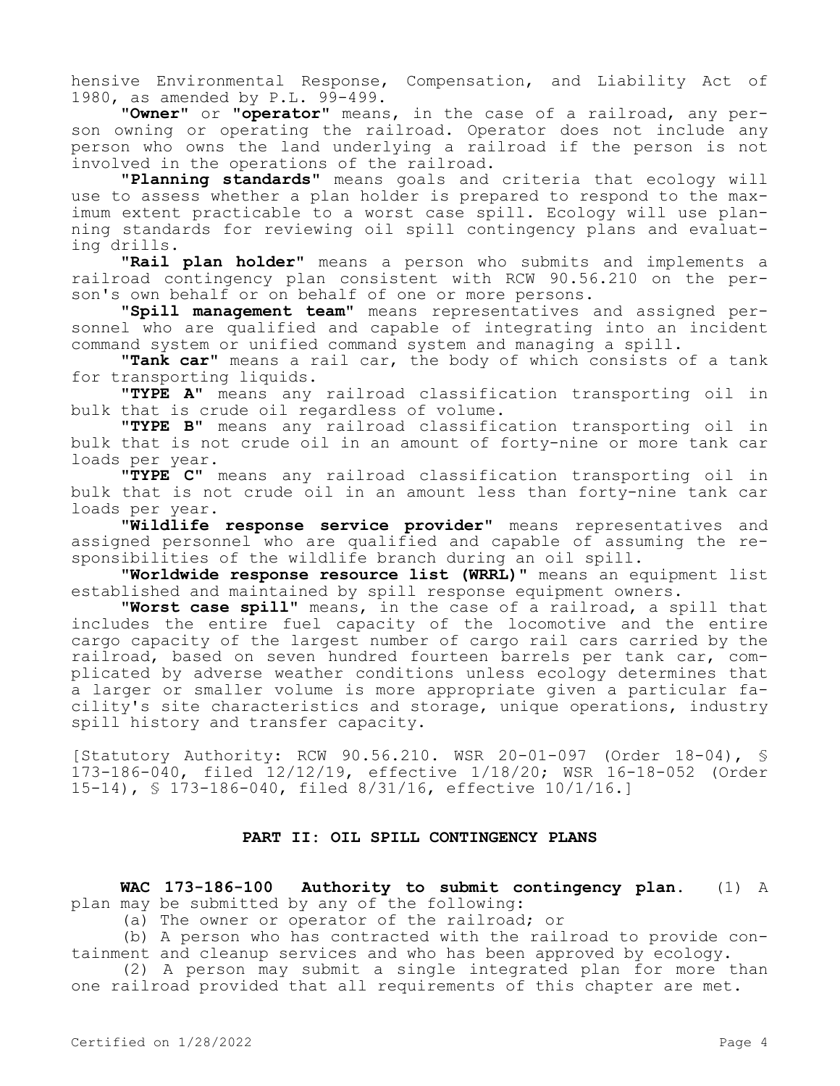hensive Environmental Response, Compensation, and Liability Act of 1980, as amended by P.L. 99-499.

**"Owner"** or **"operator"** means, in the case of a railroad, any person owning or operating the railroad. Operator does not include any person who owns the land underlying a railroad if the person is not involved in the operations of the railroad.

**"Planning standards"** means goals and criteria that ecology will use to assess whether a plan holder is prepared to respond to the maximum extent practicable to a worst case spill. Ecology will use planning standards for reviewing oil spill contingency plans and evaluating drills.

**"Rail plan holder"** means a person who submits and implements a railroad contingency plan consistent with RCW 90.56.210 on the person's own behalf or on behalf of one or more persons.

**"Spill management team"** means representatives and assigned personnel who are qualified and capable of integrating into an incident command system or unified command system and managing a spill.

**"Tank car"** means a rail car, the body of which consists of a tank for transporting liquids.

**"TYPE A"** means any railroad classification transporting oil in bulk that is crude oil regardless of volume.

**"TYPE B"** means any railroad classification transporting oil in bulk that is not crude oil in an amount of forty-nine or more tank car loads per year.

**"TYPE C"** means any railroad classification transporting oil in bulk that is not crude oil in an amount less than forty-nine tank car loads per year.

**"Wildlife response service provider"** means representatives and assigned personnel who are qualified and capable of assuming the responsibilities of the wildlife branch during an oil spill.

**"Worldwide response resource list (WRRL)"** means an equipment list established and maintained by spill response equipment owners.

**"Worst case spill"** means, in the case of a railroad, a spill that includes the entire fuel capacity of the locomotive and the entire cargo capacity of the largest number of cargo rail cars carried by the railroad, based on seven hundred fourteen barrels per tank car, complicated by adverse weather conditions unless ecology determines that a larger or smaller volume is more appropriate given a particular facility's site characteristics and storage, unique operations, industry spill history and transfer capacity.

[Statutory Authority: RCW 90.56.210. WSR 20-01-097 (Order 18-04), § 173-186-040, filed 12/12/19, effective 1/18/20; WSR 16-18-052 (Order 15-14), § 173-186-040, filed 8/31/16, effective 10/1/16.]

# **PART II: OIL SPILL CONTINGENCY PLANS**

**WAC 173-186-100 Authority to submit contingency plan.** (1) A plan may be submitted by any of the following:

(a) The owner or operator of the railroad; or

(b) A person who has contracted with the railroad to provide containment and cleanup services and who has been approved by ecology.

(2) A person may submit a single integrated plan for more than one railroad provided that all requirements of this chapter are met.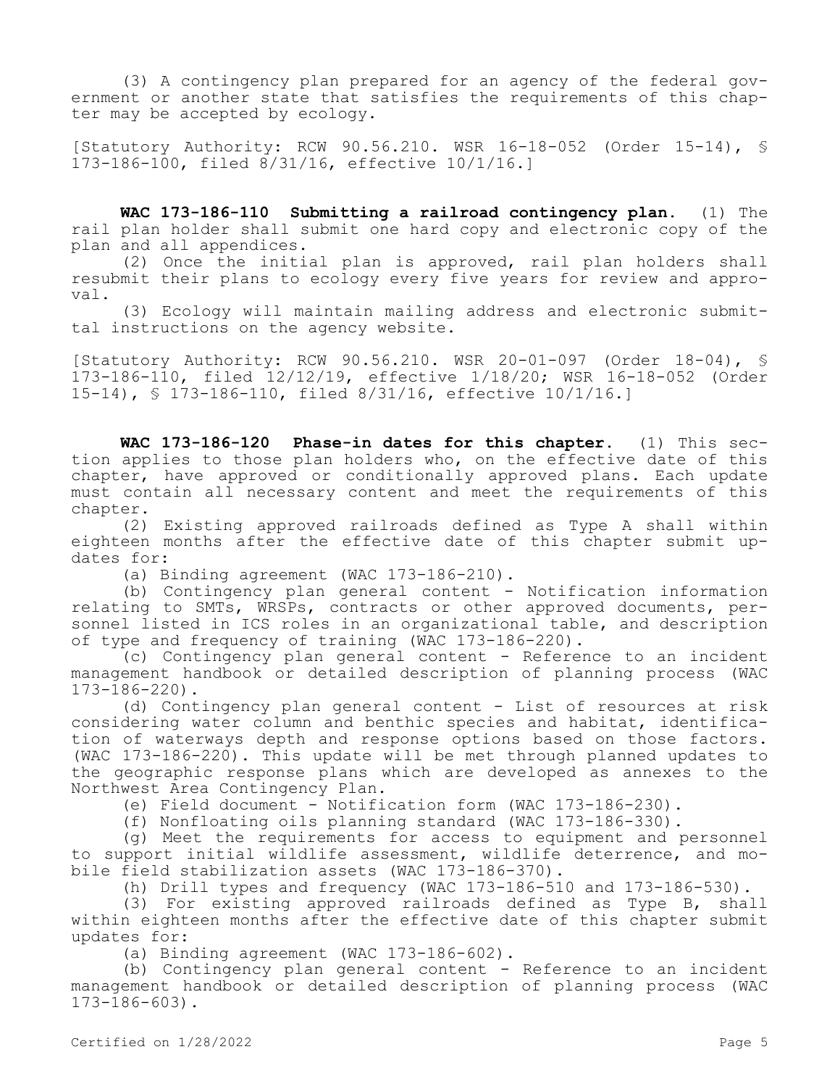(3) A contingency plan prepared for an agency of the federal government or another state that satisfies the requirements of this chapter may be accepted by ecology.

[Statutory Authority: RCW 90.56.210. WSR 16-18-052 (Order 15-14), § 173-186-100, filed 8/31/16, effective 10/1/16.]

**WAC 173-186-110 Submitting a railroad contingency plan.** (1) The rail plan holder shall submit one hard copy and electronic copy of the plan and all appendices.

(2) Once the initial plan is approved, rail plan holders shall resubmit their plans to ecology every five years for review and approval.

(3) Ecology will maintain mailing address and electronic submittal instructions on the agency website.

[Statutory Authority: RCW 90.56.210. WSR 20-01-097 (Order 18-04), § 173-186-110, filed 12/12/19, effective 1/18/20; WSR 16-18-052 (Order 15-14), § 173-186-110, filed 8/31/16, effective 10/1/16.]

**WAC 173-186-120 Phase-in dates for this chapter.** (1) This section applies to those plan holders who, on the effective date of this chapter, have approved or conditionally approved plans. Each update must contain all necessary content and meet the requirements of this chapter.

(2) Existing approved railroads defined as Type A shall within eighteen months after the effective date of this chapter submit updates for:

(a) Binding agreement (WAC 173-186-210).

(b) Contingency plan general content - Notification information relating to SMTs, WRSPs, contracts or other approved documents, personnel listed in ICS roles in an organizational table, and description of type and frequency of training (WAC 173-186-220).

(c) Contingency plan general content - Reference to an incident management handbook or detailed description of planning process (WAC 173-186-220).

(d) Contingency plan general content - List of resources at risk considering water column and benthic species and habitat, identification of waterways depth and response options based on those factors. (WAC 173-186-220). This update will be met through planned updates to the geographic response plans which are developed as annexes to the Northwest Area Contingency Plan.

(e) Field document - Notification form (WAC 173-186-230).

(f) Nonfloating oils planning standard (WAC 173-186-330).

(g) Meet the requirements for access to equipment and personnel to support initial wildlife assessment, wildlife deterrence, and mobile field stabilization assets (WAC 173-186-370).

(h) Drill types and frequency (WAC 173-186-510 and 173-186-530).

(3) For existing approved railroads defined as Type B, shall within eighteen months after the effective date of this chapter submit updates for:

(a) Binding agreement (WAC 173-186-602).

(b) Contingency plan general content - Reference to an incident management handbook or detailed description of planning process (WAC 173-186-603).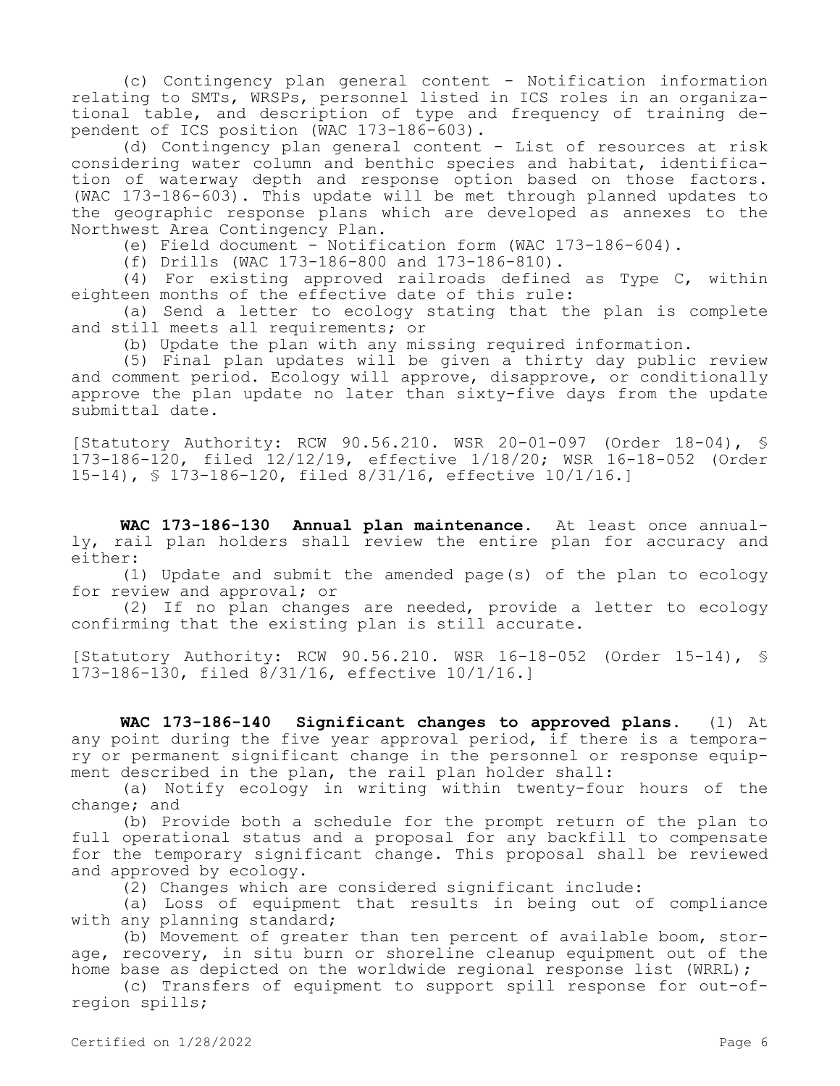(c) Contingency plan general content - Notification information relating to SMTs, WRSPs, personnel listed in ICS roles in an organizational table, and description of type and frequency of training dependent of ICS position (WAC 173-186-603).

(d) Contingency plan general content - List of resources at risk considering water column and benthic species and habitat, identification of waterway depth and response option based on those factors. (WAC 173-186-603). This update will be met through planned updates to the geographic response plans which are developed as annexes to the Northwest Area Contingency Plan.

(e) Field document - Notification form (WAC 173-186-604).

(f) Drills (WAC 173-186-800 and 173-186-810).

(4) For existing approved railroads defined as Type C, within eighteen months of the effective date of this rule:

(a) Send a letter to ecology stating that the plan is complete and still meets all requirements; or

(b) Update the plan with any missing required information.

(5) Final plan updates will be given a thirty day public review and comment period. Ecology will approve, disapprove, or conditionally approve the plan update no later than sixty-five days from the update submittal date.

[Statutory Authority: RCW 90.56.210. WSR 20-01-097 (Order 18-04), § 173-186-120, filed 12/12/19, effective 1/18/20; WSR 16-18-052 (Order 15-14), § 173-186-120, filed 8/31/16, effective 10/1/16.]

**WAC 173-186-130 Annual plan maintenance.** At least once annually, rail plan holders shall review the entire plan for accuracy and either:

(1) Update and submit the amended page(s) of the plan to ecology for review and approval; or

(2) If no plan changes are needed, provide a letter to ecology confirming that the existing plan is still accurate.

[Statutory Authority: RCW 90.56.210. WSR 16-18-052 (Order 15-14), § 173-186-130, filed 8/31/16, effective 10/1/16.]

**WAC 173-186-140 Significant changes to approved plans.** (1) At any point during the five year approval period, if there is a temporary or permanent significant change in the personnel or response equipment described in the plan, the rail plan holder shall:

(a) Notify ecology in writing within twenty-four hours of the change; and

(b) Provide both a schedule for the prompt return of the plan to full operational status and a proposal for any backfill to compensate for the temporary significant change. This proposal shall be reviewed and approved by ecology.

(2) Changes which are considered significant include:

(a) Loss of equipment that results in being out of compliance with any planning standard;

(b) Movement of greater than ten percent of available boom, storage, recovery, in situ burn or shoreline cleanup equipment out of the home base as depicted on the worldwide regional response list (WRRL);

(c) Transfers of equipment to support spill response for out-ofregion spills;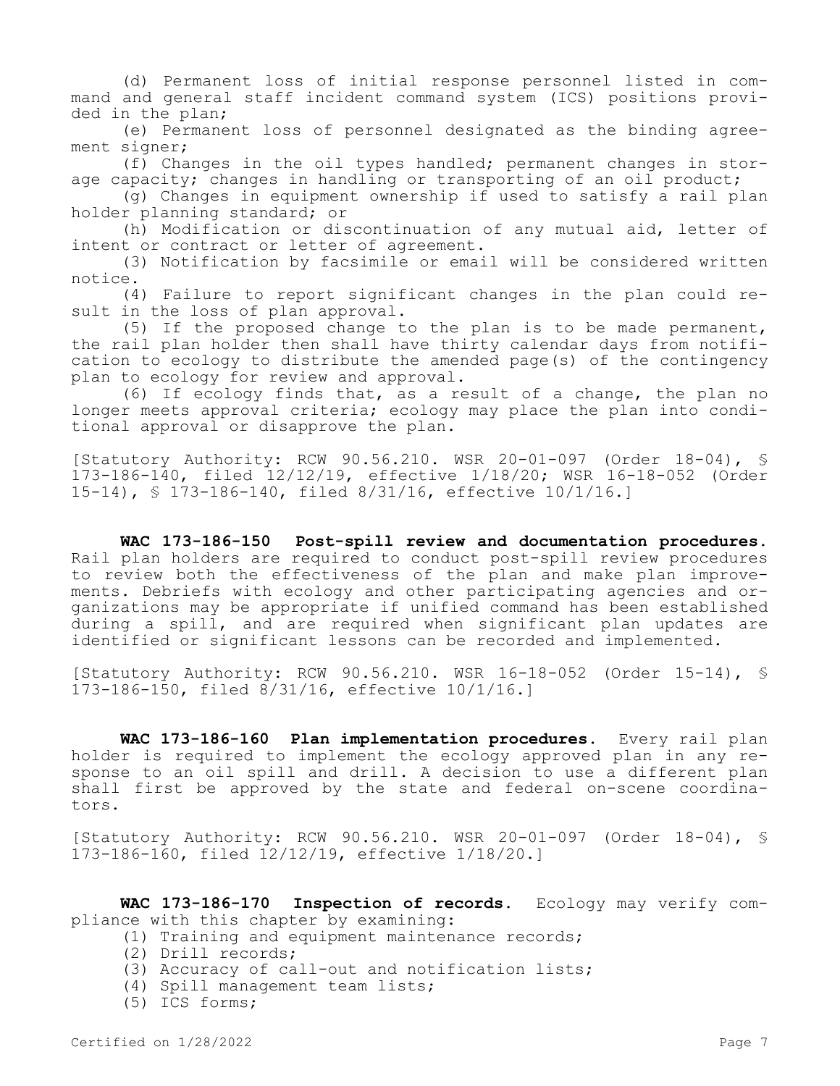(d) Permanent loss of initial response personnel listed in command and general staff incident command system (ICS) positions provided in the plan;

(e) Permanent loss of personnel designated as the binding agreement signer;

(f) Changes in the oil types handled; permanent changes in storage capacity; changes in handling or transporting of an oil product;

(g) Changes in equipment ownership if used to satisfy a rail plan holder planning standard; or

(h) Modification or discontinuation of any mutual aid, letter of intent or contract or letter of agreement.

(3) Notification by facsimile or email will be considered written notice.

(4) Failure to report significant changes in the plan could result in the loss of plan approval.

(5) If the proposed change to the plan is to be made permanent, the rail plan holder then shall have thirty calendar days from notification to ecology to distribute the amended page(s) of the contingency plan to ecology for review and approval.

(6) If ecology finds that, as a result of a change, the plan no longer meets approval criteria; ecology may place the plan into conditional approval or disapprove the plan.

[Statutory Authority: RCW 90.56.210. WSR 20-01-097 (Order 18-04), § 173-186-140, filed 12/12/19, effective 1/18/20; WSR 16-18-052 (Order 15-14), § 173-186-140, filed 8/31/16, effective 10/1/16.]

**WAC 173-186-150 Post-spill review and documentation procedures.**  Rail plan holders are required to conduct post-spill review procedures to review both the effectiveness of the plan and make plan improvements. Debriefs with ecology and other participating agencies and organizations may be appropriate if unified command has been established during a spill, and are required when significant plan updates are identified or significant lessons can be recorded and implemented.

[Statutory Authority: RCW 90.56.210. WSR 16-18-052 (Order 15-14), § 173-186-150, filed 8/31/16, effective 10/1/16.]

**WAC 173-186-160 Plan implementation procedures.** Every rail plan holder is required to implement the ecology approved plan in any response to an oil spill and drill. A decision to use a different plan shall first be approved by the state and federal on-scene coordinators.

[Statutory Authority: RCW 90.56.210. WSR 20-01-097 (Order 18-04), § 173-186-160, filed 12/12/19, effective 1/18/20.]

**WAC 173-186-170 Inspection of records.** Ecology may verify compliance with this chapter by examining:

- (1) Training and equipment maintenance records;
- (2) Drill records;
- (3) Accuracy of call-out and notification lists;
- (4) Spill management team lists;
- (5) ICS forms;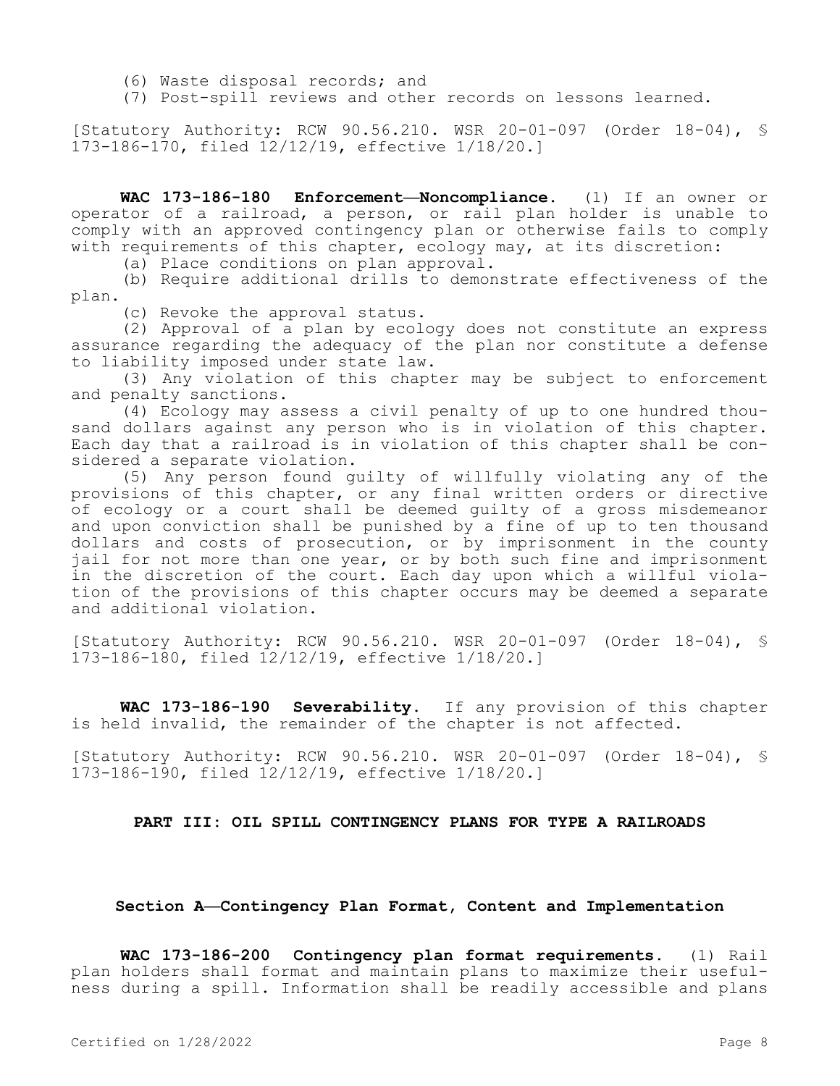- (6) Waste disposal records; and
- (7) Post-spill reviews and other records on lessons learned.

[Statutory Authority: RCW 90.56.210. WSR 20-01-097 (Order 18-04), § 173-186-170, filed 12/12/19, effective 1/18/20.]

**WAC 173-186-180 Enforcement—Noncompliance.** (1) If an owner or operator of a railroad, a person, or rail plan holder is unable to comply with an approved contingency plan or otherwise fails to comply with requirements of this chapter, ecology may, at its discretion:

(a) Place conditions on plan approval.

(b) Require additional drills to demonstrate effectiveness of the plan.

(c) Revoke the approval status.

(2) Approval of a plan by ecology does not constitute an express assurance regarding the adequacy of the plan nor constitute a defense to liability imposed under state law.

(3) Any violation of this chapter may be subject to enforcement and penalty sanctions.

(4) Ecology may assess a civil penalty of up to one hundred thousand dollars against any person who is in violation of this chapter. Each day that a railroad is in violation of this chapter shall be considered a separate violation.

(5) Any person found guilty of willfully violating any of the provisions of this chapter, or any final written orders or directive of ecology or a court shall be deemed guilty of a gross misdemeanor and upon conviction shall be punished by a fine of up to ten thousand dollars and costs of prosecution, or by imprisonment in the county jail for not more than one year, or by both such fine and imprisonment in the discretion of the court. Each day upon which a willful violation of the provisions of this chapter occurs may be deemed a separate and additional violation.

[Statutory Authority: RCW 90.56.210. WSR 20-01-097 (Order 18-04), § 173-186-180, filed 12/12/19, effective 1/18/20.]

**WAC 173-186-190 Severability.** If any provision of this chapter is held invalid, the remainder of the chapter is not affected.

[Statutory Authority: RCW 90.56.210. WSR 20-01-097 (Order 18-04), § 173-186-190, filed 12/12/19, effective 1/18/20.]

# **PART III: OIL SPILL CONTINGENCY PLANS FOR TYPE A RAILROADS**

# **Section A—Contingency Plan Format, Content and Implementation**

**WAC 173-186-200 Contingency plan format requirements.** (1) Rail plan holders shall format and maintain plans to maximize their usefulness during a spill. Information shall be readily accessible and plans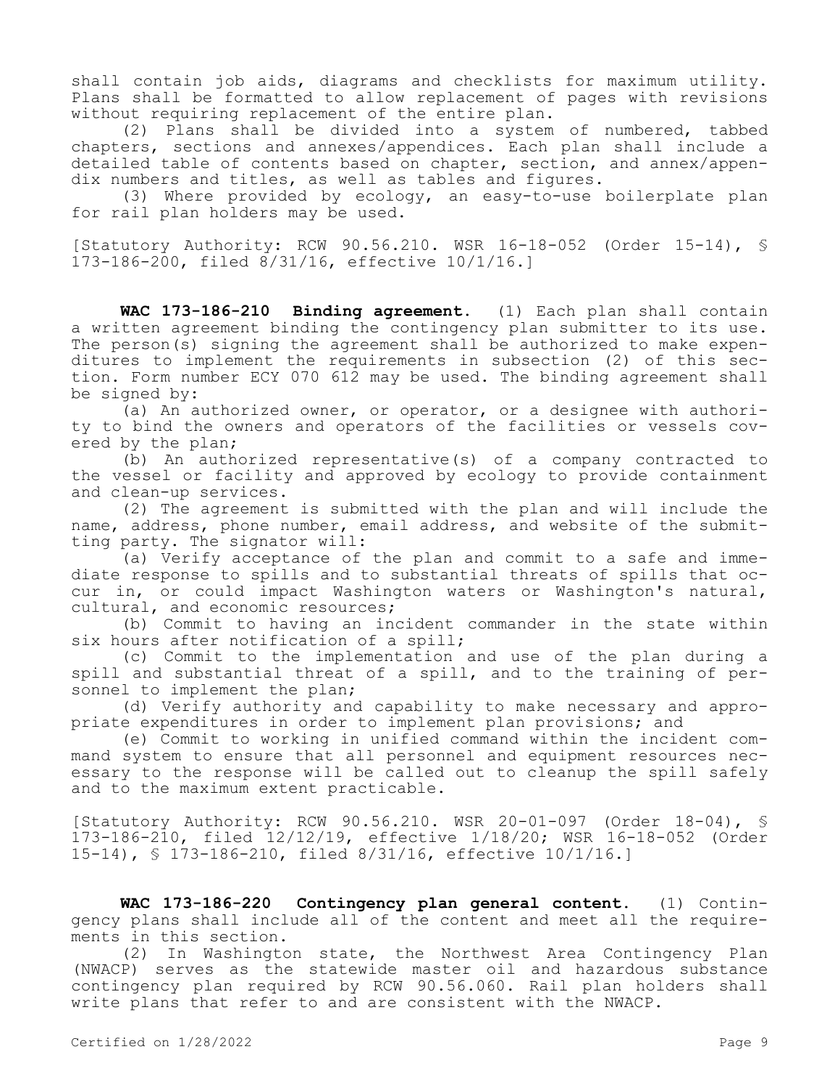shall contain job aids, diagrams and checklists for maximum utility. Plans shall be formatted to allow replacement of pages with revisions without requiring replacement of the entire plan.

(2) Plans shall be divided into a system of numbered, tabbed chapters, sections and annexes/appendices. Each plan shall include a detailed table of contents based on chapter, section, and annex/appendix numbers and titles, as well as tables and figures.

(3) Where provided by ecology, an easy-to-use boilerplate plan for rail plan holders may be used.

[Statutory Authority: RCW 90.56.210. WSR 16-18-052 (Order 15-14), § 173-186-200, filed 8/31/16, effective 10/1/16.]

**WAC 173-186-210 Binding agreement.** (1) Each plan shall contain a written agreement binding the contingency plan submitter to its use. The person(s) signing the agreement shall be authorized to make expenditures to implement the requirements in subsection (2) of this section. Form number ECY 070 612 may be used. The binding agreement shall be signed by:

(a) An authorized owner, or operator, or a designee with authority to bind the owners and operators of the facilities or vessels covered by the plan;

(b) An authorized representative(s) of a company contracted to the vessel or facility and approved by ecology to provide containment and clean-up services.

(2) The agreement is submitted with the plan and will include the name, address, phone number, email address, and website of the submitting party. The signator will:

(a) Verify acceptance of the plan and commit to a safe and immediate response to spills and to substantial threats of spills that occur in, or could impact Washington waters or Washington's natural, cultural, and economic resources;

(b) Commit to having an incident commander in the state within six hours after notification of a spill;

(c) Commit to the implementation and use of the plan during a spill and substantial threat of a spill, and to the training of personnel to implement the plan;

(d) Verify authority and capability to make necessary and appropriate expenditures in order to implement plan provisions; and

(e) Commit to working in unified command within the incident command system to ensure that all personnel and equipment resources necessary to the response will be called out to cleanup the spill safely and to the maximum extent practicable.

[Statutory Authority: RCW 90.56.210. WSR 20-01-097 (Order 18-04), § 173-186-210, filed 12/12/19, effective 1/18/20; WSR 16-18-052 (Order 15-14), § 173-186-210, filed 8/31/16, effective 10/1/16.]

**WAC 173-186-220 Contingency plan general content.** (1) Contingency plans shall include all of the content and meet all the requirements in this section.

(2) In Washington state, the Northwest Area Contingency Plan (NWACP) serves as the statewide master oil and hazardous substance contingency plan required by RCW 90.56.060. Rail plan holders shall write plans that refer to and are consistent with the NWACP.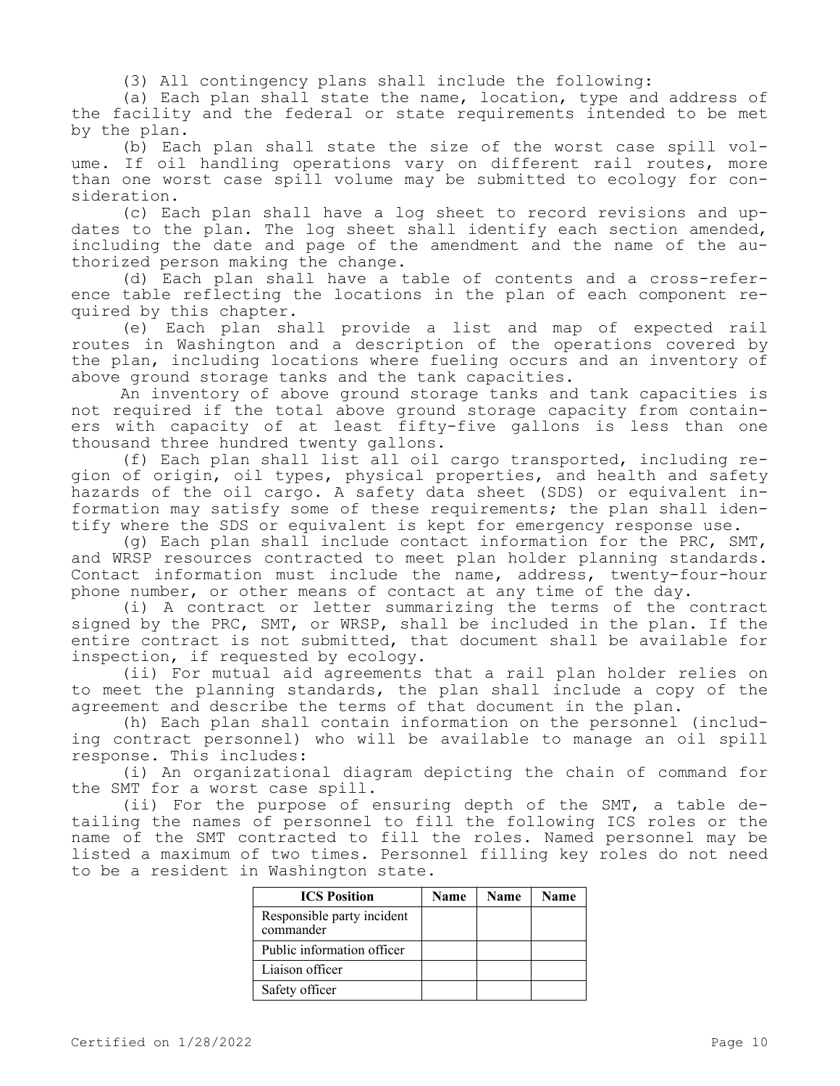(3) All contingency plans shall include the following:

(a) Each plan shall state the name, location, type and address of the facility and the federal or state requirements intended to be met by the plan.

(b) Each plan shall state the size of the worst case spill volume. If oil handling operations vary on different rail routes, more than one worst case spill volume may be submitted to ecology for consideration.

(c) Each plan shall have a log sheet to record revisions and updates to the plan. The log sheet shall identify each section amended, including the date and page of the amendment and the name of the authorized person making the change.

(d) Each plan shall have a table of contents and a cross-reference table reflecting the locations in the plan of each component required by this chapter.

(e) Each plan shall provide a list and map of expected rail routes in Washington and a description of the operations covered by the plan, including locations where fueling occurs and an inventory of above ground storage tanks and the tank capacities.

An inventory of above ground storage tanks and tank capacities is not required if the total above ground storage capacity from containers with capacity of at least fifty-five gallons is less than one thousand three hundred twenty gallons.

(f) Each plan shall list all oil cargo transported, including region of origin, oil types, physical properties, and health and safety hazards of the oil cargo. A safety data sheet (SDS) or equivalent information may satisfy some of these requirements; the plan shall identify where the SDS or equivalent is kept for emergency response use.

(g) Each plan shall include contact information for the PRC, SMT, and WRSP resources contracted to meet plan holder planning standards. Contact information must include the name, address, twenty-four-hour phone number, or other means of contact at any time of the day.

(i) A contract or letter summarizing the terms of the contract signed by the PRC, SMT, or WRSP, shall be included in the plan. If the entire contract is not submitted, that document shall be available for inspection, if requested by ecology.

(ii) For mutual aid agreements that a rail plan holder relies on to meet the planning standards, the plan shall include a copy of the agreement and describe the terms of that document in the plan.

(h) Each plan shall contain information on the personnel (including contract personnel) who will be available to manage an oil spill response. This includes:

(i) An organizational diagram depicting the chain of command for the SMT for a worst case spill.

(ii) For the purpose of ensuring depth of the SMT, a table detailing the names of personnel to fill the following ICS roles or the name of the SMT contracted to fill the roles. Named personnel may be listed a maximum of two times. Personnel filling key roles do not need to be a resident in Washington state.

| <b>ICS Position</b>                     | Name | <b>Name</b> | <b>Name</b> |
|-----------------------------------------|------|-------------|-------------|
| Responsible party incident<br>commander |      |             |             |
| Public information officer              |      |             |             |
| Liaison officer                         |      |             |             |
| Safety officer                          |      |             |             |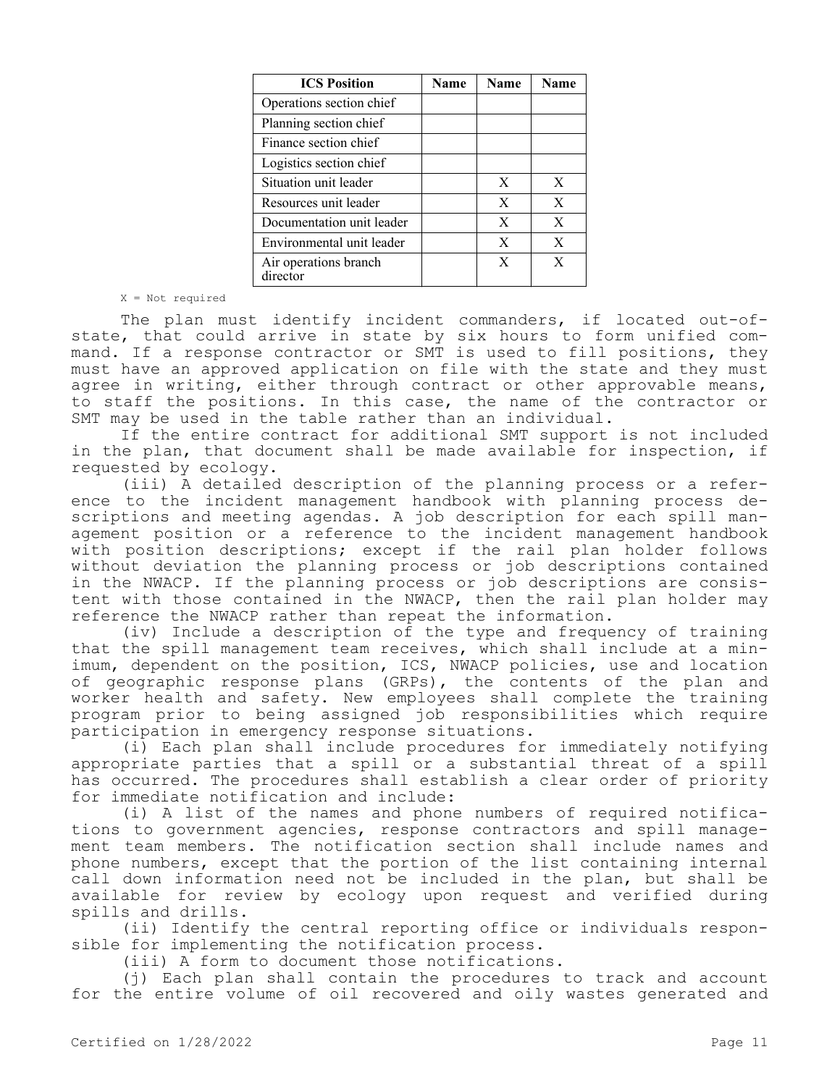| <b>ICS Position</b>               | <b>Name</b> | <b>Name</b>  | <b>Name</b> |
|-----------------------------------|-------------|--------------|-------------|
| Operations section chief          |             |              |             |
| Planning section chief            |             |              |             |
| Finance section chief             |             |              |             |
| Logistics section chief           |             |              |             |
| Situation unit leader             |             | X            | X           |
| Resources unit leader             |             | X            | X           |
| Documentation unit leader         |             | X            | X           |
| Environmental unit leader         |             | $\mathbf{X}$ | X           |
| Air operations branch<br>director |             | X            | X           |

#### X = Not required

The plan must identify incident commanders, if located out-ofstate, that could arrive in state by six hours to form unified command. If a response contractor or SMT is used to fill positions, they must have an approved application on file with the state and they must agree in writing, either through contract or other approvable means, to staff the positions. In this case, the name of the contractor or SMT may be used in the table rather than an individual.

If the entire contract for additional SMT support is not included in the plan, that document shall be made available for inspection, if requested by ecology.

(iii) A detailed description of the planning process or a reference to the incident management handbook with planning process descriptions and meeting agendas. A job description for each spill management position or a reference to the incident management handbook with position descriptions; except if the rail plan holder follows without deviation the planning process or job descriptions contained in the NWACP. If the planning process or job descriptions are consistent with those contained in the NWACP, then the rail plan holder may reference the NWACP rather than repeat the information.

(iv) Include a description of the type and frequency of training that the spill management team receives, which shall include at a minimum, dependent on the position, ICS, NWACP policies, use and location of geographic response plans (GRPs), the contents of the plan and worker health and safety. New employees shall complete the training program prior to being assigned job responsibilities which require participation in emergency response situations.

(i) Each plan shall include procedures for immediately notifying appropriate parties that a spill or a substantial threat of a spill has occurred. The procedures shall establish a clear order of priority for immediate notification and include:

(i) A list of the names and phone numbers of required notifications to government agencies, response contractors and spill management team members. The notification section shall include names and phone numbers, except that the portion of the list containing internal call down information need not be included in the plan, but shall be available for review by ecology upon request and verified during spills and drills.

(ii) Identify the central reporting office or individuals responsible for implementing the notification process.

(iii) A form to document those notifications.

(j) Each plan shall contain the procedures to track and account for the entire volume of oil recovered and oily wastes generated and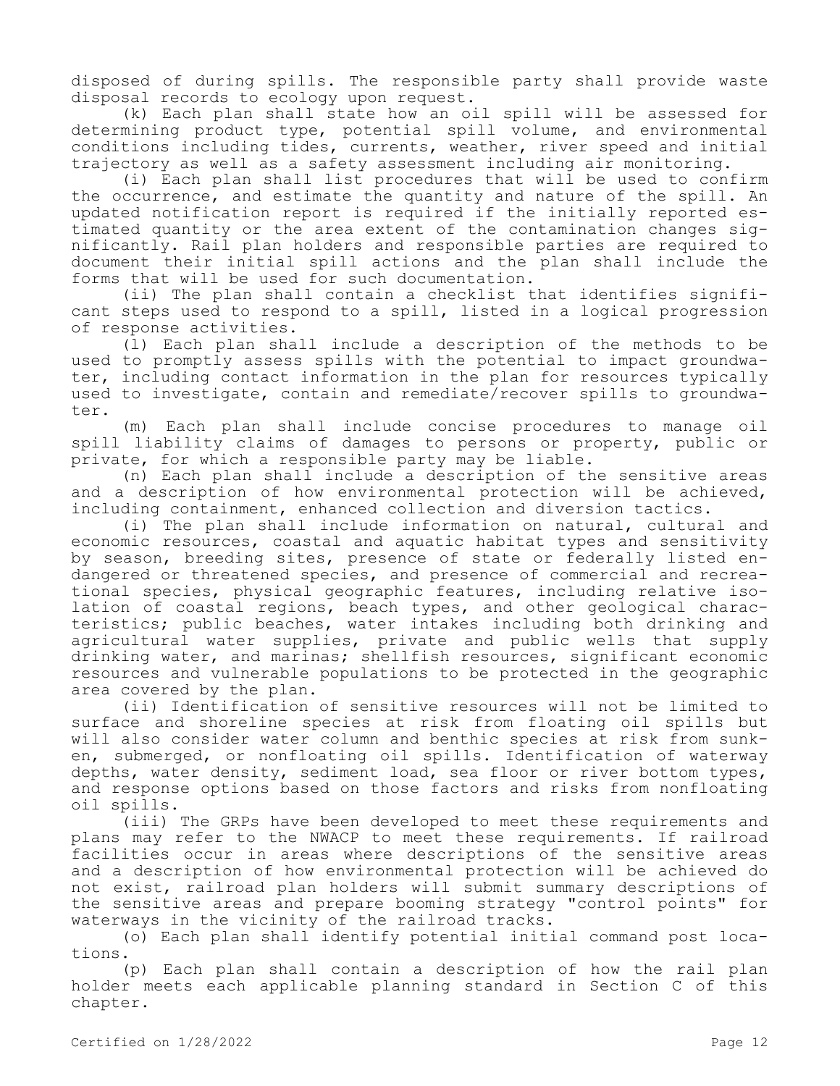disposed of during spills. The responsible party shall provide waste disposal records to ecology upon request.

(k) Each plan shall state how an oil spill will be assessed for determining product type, potential spill volume, and environmental conditions including tides, currents, weather, river speed and initial trajectory as well as a safety assessment including air monitoring.

(i) Each plan shall list procedures that will be used to confirm the occurrence, and estimate the quantity and nature of the spill. An updated notification report is required if the initially reported estimated quantity or the area extent of the contamination changes significantly. Rail plan holders and responsible parties are required to document their initial spill actions and the plan shall include the forms that will be used for such documentation.

(ii) The plan shall contain a checklist that identifies significant steps used to respond to a spill, listed in a logical progression of response activities.

(l) Each plan shall include a description of the methods to be used to promptly assess spills with the potential to impact groundwater, including contact information in the plan for resources typically used to investigate, contain and remediate/recover spills to groundwater.

(m) Each plan shall include concise procedures to manage oil spill liability claims of damages to persons or property, public or private, for which a responsible party may be liable.

(n) Each plan shall include a description of the sensitive areas and a description of how environmental protection will be achieved, including containment, enhanced collection and diversion tactics.

(i) The plan shall include information on natural, cultural and economic resources, coastal and aquatic habitat types and sensitivity by season, breeding sites, presence of state or federally listed endangered or threatened species, and presence of commercial and recreational species, physical geographic features, including relative isolation of coastal regions, beach types, and other geological characteristics; public beaches, water intakes including both drinking and agricultural water supplies, private and public wells that supply drinking water, and marinas; shellfish resources, significant economic resources and vulnerable populations to be protected in the geographic area covered by the plan.

(ii) Identification of sensitive resources will not be limited to surface and shoreline species at risk from floating oil spills but will also consider water column and benthic species at risk from sunken, submerged, or nonfloating oil spills. Identification of waterway depths, water density, sediment load, sea floor or river bottom types, and response options based on those factors and risks from nonfloating oil spills.

(iii) The GRPs have been developed to meet these requirements and plans may refer to the NWACP to meet these requirements. If railroad facilities occur in areas where descriptions of the sensitive areas and a description of how environmental protection will be achieved do not exist, railroad plan holders will submit summary descriptions of the sensitive areas and prepare booming strategy "control points" for waterways in the vicinity of the railroad tracks.

(o) Each plan shall identify potential initial command post locations.

(p) Each plan shall contain a description of how the rail plan holder meets each applicable planning standard in Section C of this chapter.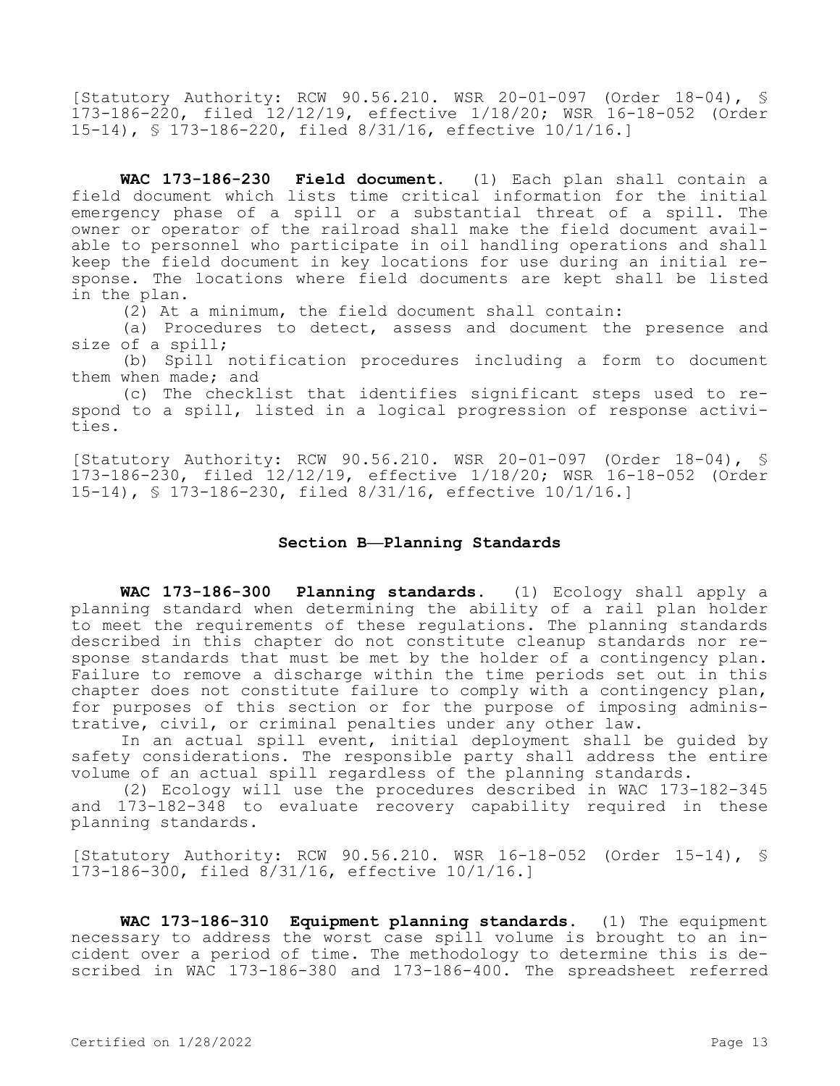[Statutory Authority: RCW 90.56.210. WSR 20-01-097 (Order 18-04), § 173-186-220, filed 12/12/19, effective 1/18/20; WSR 16-18-052 (Order 15-14), § 173-186-220, filed 8/31/16, effective 10/1/16.]

**WAC 173-186-230 Field document.** (1) Each plan shall contain a field document which lists time critical information for the initial emergency phase of a spill or a substantial threat of a spill. The owner or operator of the railroad shall make the field document available to personnel who participate in oil handling operations and shall keep the field document in key locations for use during an initial response. The locations where field documents are kept shall be listed in the plan.

(2) At a minimum, the field document shall contain:

(a) Procedures to detect, assess and document the presence and size of a spill;

(b) Spill notification procedures including a form to document them when made; and

(c) The checklist that identifies significant steps used to respond to a spill, listed in a logical progression of response activities.

[Statutory Authority: RCW 90.56.210. WSR 20-01-097 (Order 18-04), § 173-186-230, filed 12/12/19, effective 1/18/20; WSR 16-18-052 (Order 15-14), § 173-186-230, filed 8/31/16, effective 10/1/16.]

# **Section B—Planning Standards**

**WAC 173-186-300 Planning standards.** (1) Ecology shall apply a planning standard when determining the ability of a rail plan holder to meet the requirements of these regulations. The planning standards described in this chapter do not constitute cleanup standards nor response standards that must be met by the holder of a contingency plan. Failure to remove a discharge within the time periods set out in this chapter does not constitute failure to comply with a contingency plan, for purposes of this section or for the purpose of imposing administrative, civil, or criminal penalties under any other law.

In an actual spill event, initial deployment shall be guided by safety considerations. The responsible party shall address the entire volume of an actual spill regardless of the planning standards.

(2) Ecology will use the procedures described in WAC 173-182-345 and 173-182-348 to evaluate recovery capability required in these planning standards.

[Statutory Authority: RCW 90.56.210. WSR 16-18-052 (Order 15-14), § 173-186-300, filed 8/31/16, effective 10/1/16.]

**WAC 173-186-310 Equipment planning standards.** (1) The equipment necessary to address the worst case spill volume is brought to an incident over a period of time. The methodology to determine this is described in WAC 173-186-380 and 173-186-400. The spreadsheet referred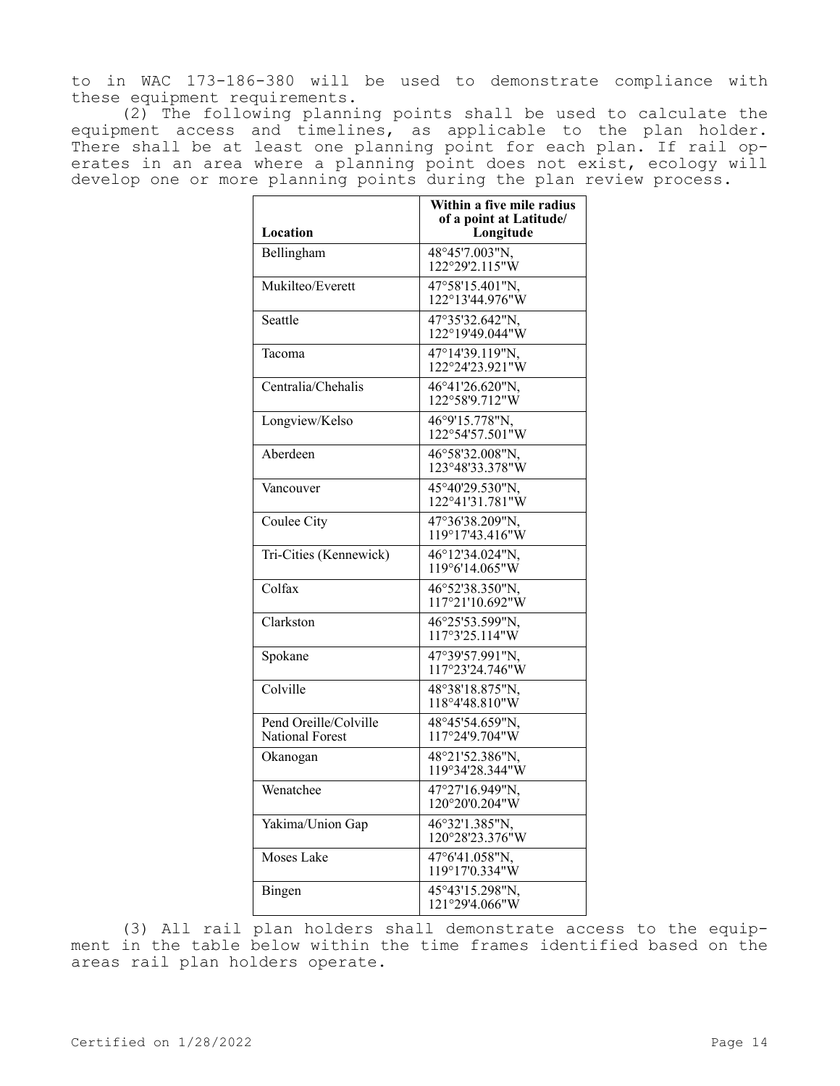to in WAC 173-186-380 will be used to demonstrate compliance with these equipment requirements.

(2) The following planning points shall be used to calculate the equipment access and timelines, as applicable to the plan holder. There shall be at least one planning point for each plan. If rail operates in an area where a planning point does not exist, ecology will develop one or more planning points during the plan review process.

|                                                 | Within a five mile radius<br>of a point at Latitude/ |
|-------------------------------------------------|------------------------------------------------------|
| Location                                        | Longitude                                            |
| Bellingham                                      | $48^{\circ}45'7.003''N,$<br>122°29'2.115"W           |
| Mukilteo/Everett                                | 47°58'15.401"N,<br>122°13'44.976"W                   |
| Seattle                                         | 47°35'32.642"N,<br>122°19'49.044"W                   |
| Tacoma                                          | 47°14'39.119"N,<br>122°24'23.921"W                   |
| Centralia/Chehalis                              | 46°41'26.620"N,<br>122°58'9.712"W                    |
| Longview/Kelso                                  | 46°9'15.778"N,<br>122°54'57.501"W                    |
| Aberdeen                                        | 46°58'32.008"N,<br>123°48'33.378"W                   |
| Vancouver                                       | 45°40'29.530"N,<br>122°41'31.781"W                   |
| Coulee City                                     | 47°36'38.209"N,<br>119°17'43.416"W                   |
| Tri-Cities (Kennewick)                          | 46°12'34.024"N,<br>119°6'14.065"W                    |
| Colfax                                          | 46°52'38.350"N,<br>117°21'10.692"W                   |
| Clarkston                                       | 46°25'53.599"N,<br>117°3'25.114"W                    |
| Spokane                                         | 47°39'57.991"N,<br>117°23'24.746"W                   |
| Colville                                        | 48°38'18.875"N,<br>118°4'48.810"W                    |
| Pend Oreille/Colville<br><b>National Forest</b> | 48°45'54.659"N,<br>117°24'9.704"W                    |
| Okanogan                                        | 48°21'52.386"N,<br>119°34'28.344"W                   |
| Wenatchee                                       | 47°27'16.949"N,<br>120°20'0.204"W                    |
| Yakima/Union Gap                                | 46°32'1.385"N,<br>120°28'23.376"W                    |
| Moses Lake                                      | 47°6'41.058"N,<br>119°17'0.334"W                     |
| Bingen                                          | 45°43'15.298"N,<br>121°29'4.066"W                    |

(3) All rail plan holders shall demonstrate access to the equipment in the table below within the time frames identified based on the areas rail plan holders operate.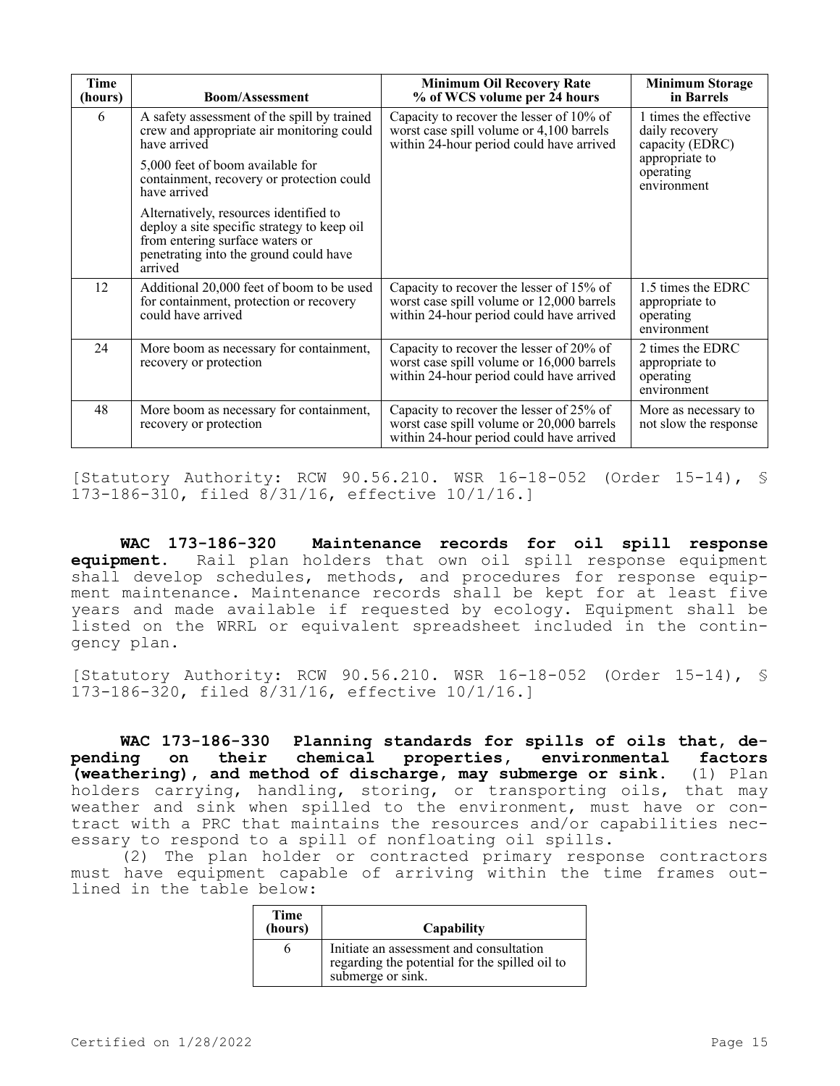| Time<br>(hours) | <b>Boom/Assessment</b>                                                                                                                                                        | <b>Minimum Oil Recovery Rate</b><br>% of WCS volume per 24 hours                                                                  | <b>Minimum Storage</b><br>in Barrels                             |
|-----------------|-------------------------------------------------------------------------------------------------------------------------------------------------------------------------------|-----------------------------------------------------------------------------------------------------------------------------------|------------------------------------------------------------------|
| 6               | A safety assessment of the spill by trained<br>crew and appropriate air monitoring could<br>have arrived                                                                      | Capacity to recover the lesser of 10% of<br>worst case spill volume or 4,100 barrels<br>within 24-hour period could have arrived  | 1 times the effective<br>daily recovery<br>capacity (EDRC)       |
|                 | 5,000 feet of boom available for<br>containment, recovery or protection could<br>have arrived                                                                                 |                                                                                                                                   | appropriate to<br>operating<br>environment                       |
|                 | Alternatively, resources identified to<br>deploy a site specific strategy to keep oil<br>from entering surface waters or<br>penetrating into the ground could have<br>arrived |                                                                                                                                   |                                                                  |
| 12              | Additional 20,000 feet of boom to be used<br>for containment, protection or recovery<br>could have arrived                                                                    | Capacity to recover the lesser of 15% of<br>worst case spill volume or 12,000 barrels<br>within 24-hour period could have arrived | 1.5 times the EDRC<br>appropriate to<br>operating<br>environment |
| 24              | More boom as necessary for containment,<br>recovery or protection                                                                                                             | Capacity to recover the lesser of 20% of<br>worst case spill volume or 16,000 barrels<br>within 24-hour period could have arrived | 2 times the EDRC<br>appropriate to<br>operating<br>environment   |
| 48              | More boom as necessary for containment,<br>recovery or protection                                                                                                             | Capacity to recover the lesser of 25% of<br>worst case spill volume or 20,000 barrels<br>within 24-hour period could have arrived | More as necessary to<br>not slow the response                    |

[Statutory Authority: RCW 90.56.210. WSR 16-18-052 (Order 15-14), § 173-186-310, filed 8/31/16, effective 10/1/16.]

**WAC 173-186-320 Maintenance records for oil spill response equipment.** Rail plan holders that own oil spill response equipment shall develop schedules, methods, and procedures for response equipment maintenance. Maintenance records shall be kept for at least five years and made available if requested by ecology. Equipment shall be listed on the WRRL or equivalent spreadsheet included in the contingency plan.

[Statutory Authority: RCW 90.56.210. WSR 16-18-052 (Order 15-14), § 173-186-320, filed 8/31/16, effective 10/1/16.]

**WAC 173-186-330 Planning standards for spills of oils that, depending on their chemical properties, environmental factors (weathering), and method of discharge, may submerge or sink.** (1) Plan holders carrying, handling, storing, or transporting oils, that may weather and sink when spilled to the environment, must have or contract with a PRC that maintains the resources and/or capabilities necessary to respond to a spill of nonfloating oil spills.

(2) The plan holder or contracted primary response contractors must have equipment capable of arriving within the time frames outlined in the table below:

| <b>Time</b><br>(hours) | Capability                                                                                                     |
|------------------------|----------------------------------------------------------------------------------------------------------------|
|                        | Initiate an assessment and consultation<br>regarding the potential for the spilled oil to<br>submerge or sink. |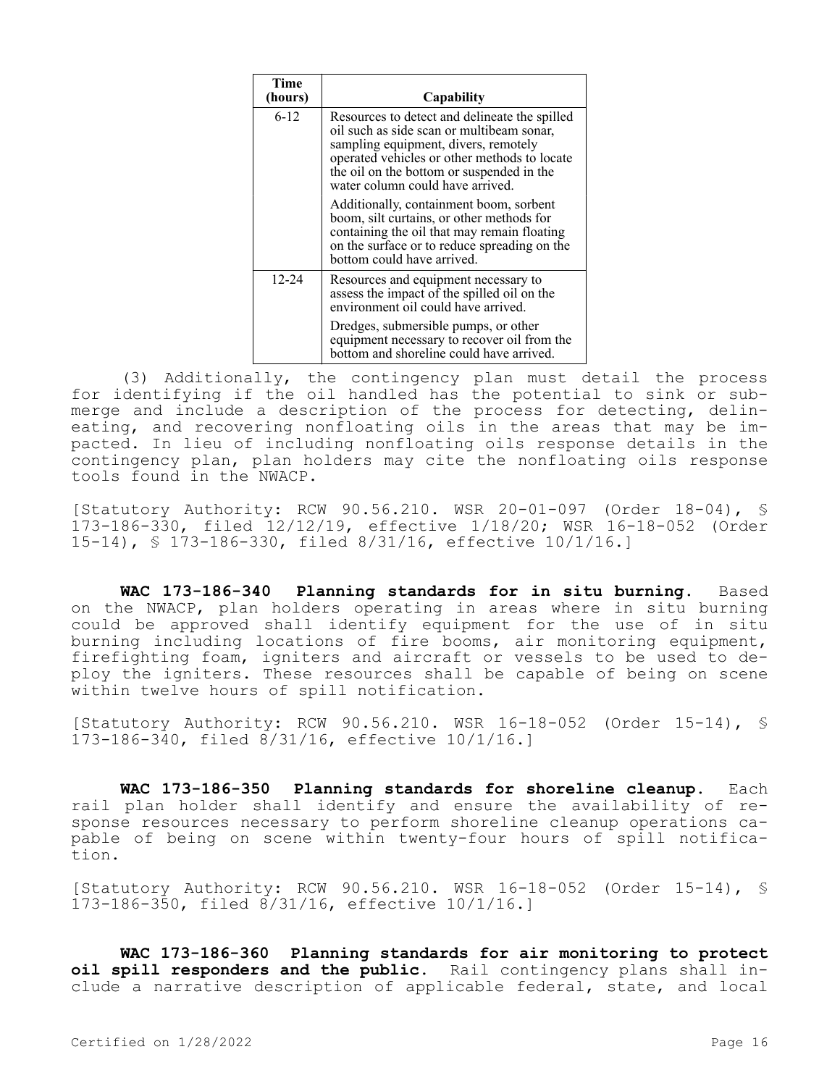| Time<br>(hours) | Capability                                                                                                                                                                                                                                                          |
|-----------------|---------------------------------------------------------------------------------------------------------------------------------------------------------------------------------------------------------------------------------------------------------------------|
| $6-12$          | Resources to detect and delineate the spilled<br>oil such as side scan or multibeam sonar,<br>sampling equipment, divers, remotely<br>operated vehicles or other methods to locate<br>the oil on the bottom or suspended in the<br>water column could have arrived. |
|                 | Additionally, containment boom, sorbent<br>boom, silt curtains, or other methods for<br>containing the oil that may remain floating<br>on the surface or to reduce spreading on the<br>bottom could have arrived.                                                   |
| $12 - 24$       | Resources and equipment necessary to<br>assess the impact of the spilled oil on the<br>environment oil could have arrived.                                                                                                                                          |
|                 | Dredges, submersible pumps, or other<br>equipment necessary to recover oil from the<br>bottom and shoreline could have arrived.                                                                                                                                     |

(3) Additionally, the contingency plan must detail the process for identifying if the oil handled has the potential to sink or submerge and include a description of the process for detecting, delineating, and recovering nonfloating oils in the areas that may be impacted. In lieu of including nonfloating oils response details in the contingency plan, plan holders may cite the nonfloating oils response tools found in the NWACP.

[Statutory Authority: RCW 90.56.210. WSR 20-01-097 (Order 18-04), § 173-186-330, filed 12/12/19, effective 1/18/20; WSR 16-18-052 (Order 15-14), § 173-186-330, filed 8/31/16, effective 10/1/16.]

**WAC 173-186-340 Planning standards for in situ burning.** Based on the NWACP, plan holders operating in areas where in situ burning could be approved shall identify equipment for the use of in situ burning including locations of fire booms, air monitoring equipment, firefighting foam, igniters and aircraft or vessels to be used to deploy the igniters. These resources shall be capable of being on scene within twelve hours of spill notification.

[Statutory Authority: RCW 90.56.210. WSR 16-18-052 (Order 15-14), § 173-186-340, filed 8/31/16, effective 10/1/16.]

**WAC 173-186-350 Planning standards for shoreline cleanup.** Each rail plan holder shall identify and ensure the availability of response resources necessary to perform shoreline cleanup operations capable of being on scene within twenty-four hours of spill notification.

[Statutory Authority: RCW 90.56.210. WSR 16-18-052 (Order 15-14), § 173-186-350, filed 8/31/16, effective 10/1/16.]

**WAC 173-186-360 Planning standards for air monitoring to protect oil spill responders and the public.** Rail contingency plans shall include a narrative description of applicable federal, state, and local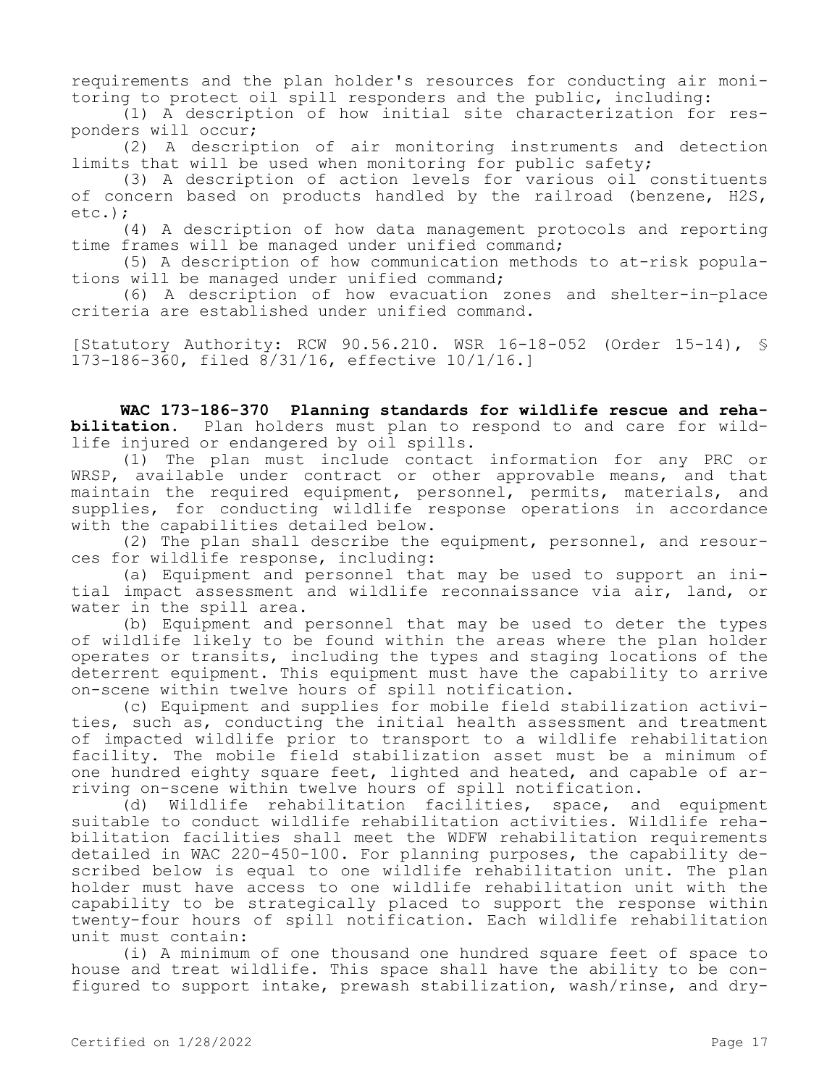requirements and the plan holder's resources for conducting air monitoring to protect oil spill responders and the public, including:

(1) A description of how initial site characterization for responders will occur;

(2) A description of air monitoring instruments and detection limits that will be used when monitoring for public safety;

(3) A description of action levels for various oil constituents of concern based on products handled by the railroad (benzene, H2S, etc.);

(4) A description of how data management protocols and reporting time frames will be managed under unified command;

(5) A description of how communication methods to at-risk populations will be managed under unified command;

(6) A description of how evacuation zones and shelter-in–place criteria are established under unified command.

[Statutory Authority: RCW 90.56.210. WSR 16-18-052 (Order 15-14), § 173-186-360, filed 8/31/16, effective 10/1/16.]

**WAC 173-186-370 Planning standards for wildlife rescue and rehabilitation.** Plan holders must plan to respond to and care for wildlife injured or endangered by oil spills.

(1) The plan must include contact information for any PRC or WRSP, available under contract or other approvable means, and that maintain the required equipment, personnel, permits, materials, and supplies, for conducting wildlife response operations in accordance with the capabilities detailed below.

(2) The plan shall describe the equipment, personnel, and resources for wildlife response, including:

(a) Equipment and personnel that may be used to support an initial impact assessment and wildlife reconnaissance via air, land, or water in the spill area.

(b) Equipment and personnel that may be used to deter the types of wildlife likely to be found within the areas where the plan holder operates or transits, including the types and staging locations of the deterrent equipment. This equipment must have the capability to arrive on-scene within twelve hours of spill notification.

(c) Equipment and supplies for mobile field stabilization activities, such as, conducting the initial health assessment and treatment of impacted wildlife prior to transport to a wildlife rehabilitation facility. The mobile field stabilization asset must be a minimum of one hundred eighty square feet, lighted and heated, and capable of arriving on-scene within twelve hours of spill notification.

(d) Wildlife rehabilitation facilities, space, and equipment suitable to conduct wildlife rehabilitation activities. Wildlife rehabilitation facilities shall meet the WDFW rehabilitation requirements detailed in WAC 220-450-100. For planning purposes, the capability described below is equal to one wildlife rehabilitation unit. The plan holder must have access to one wildlife rehabilitation unit with the capability to be strategically placed to support the response within twenty-four hours of spill notification. Each wildlife rehabilitation unit must contain:

(i) A minimum of one thousand one hundred square feet of space to house and treat wildlife. This space shall have the ability to be configured to support intake, prewash stabilization, wash/rinse, and dry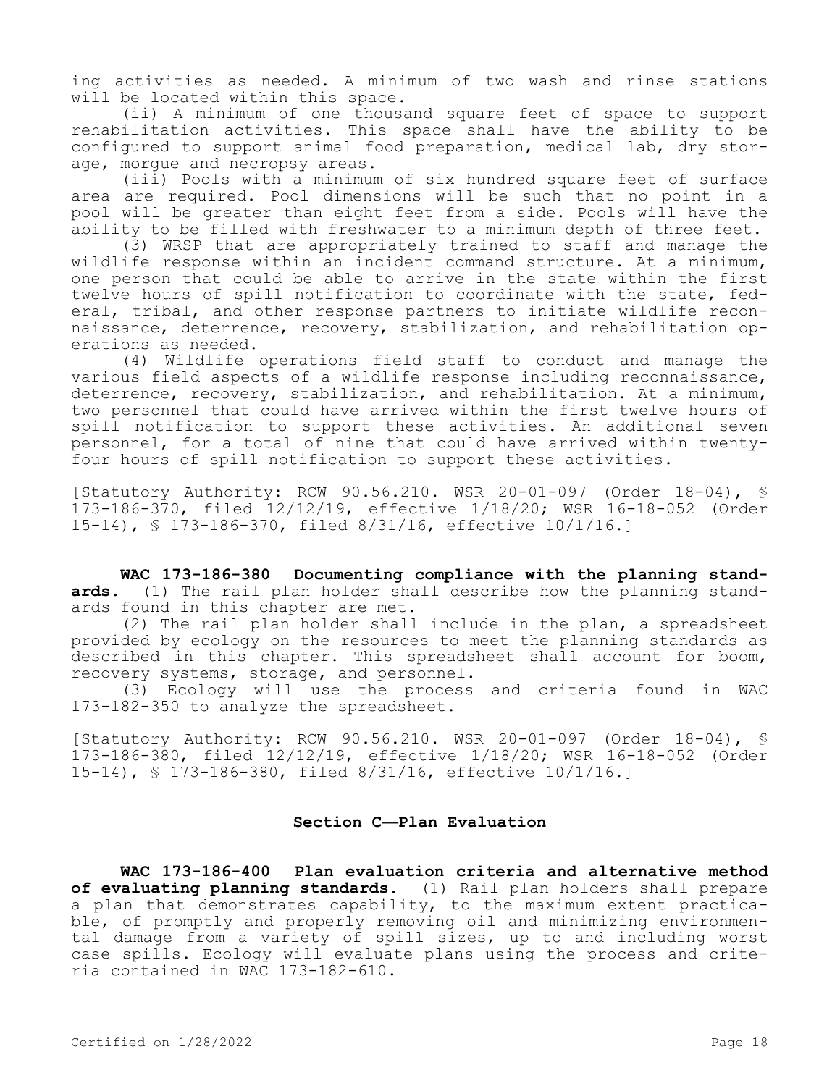ing activities as needed. A minimum of two wash and rinse stations will be located within this space.

(ii) A minimum of one thousand square feet of space to support rehabilitation activities. This space shall have the ability to be configured to support animal food preparation, medical lab, dry storage, morgue and necropsy areas.

(iii) Pools with a minimum of six hundred square feet of surface area are required. Pool dimensions will be such that no point in a pool will be greater than eight feet from a side. Pools will have the ability to be filled with freshwater to a minimum depth of three feet.

(3) WRSP that are appropriately trained to staff and manage the wildlife response within an incident command structure. At a minimum, one person that could be able to arrive in the state within the first twelve hours of spill notification to coordinate with the state, federal, tribal, and other response partners to initiate wildlife reconnaissance, deterrence, recovery, stabilization, and rehabilitation operations as needed.

(4) Wildlife operations field staff to conduct and manage the various field aspects of a wildlife response including reconnaissance, deterrence, recovery, stabilization, and rehabilitation. At a minimum, two personnel that could have arrived within the first twelve hours of spill notification to support these activities. An additional seven personnel, for a total of nine that could have arrived within twentyfour hours of spill notification to support these activities.

[Statutory Authority: RCW 90.56.210. WSR 20-01-097 (Order 18-04), § 173-186-370, filed 12/12/19, effective 1/18/20; WSR 16-18-052 (Order 15-14), § 173-186-370, filed 8/31/16, effective 10/1/16.]

**WAC 173-186-380 Documenting compliance with the planning standards.** (1) The rail plan holder shall describe how the planning standards found in this chapter are met.

(2) The rail plan holder shall include in the plan, a spreadsheet provided by ecology on the resources to meet the planning standards as described in this chapter. This spreadsheet shall account for boom, recovery systems, storage, and personnel.

(3) Ecology will use the process and criteria found in WAC 173-182-350 to analyze the spreadsheet.

[Statutory Authority: RCW 90.56.210. WSR 20-01-097 (Order 18-04), § 173-186-380, filed 12/12/19, effective 1/18/20; WSR 16-18-052 (Order 15-14), § 173-186-380, filed 8/31/16, effective 10/1/16.]

# **Section C—Plan Evaluation**

**WAC 173-186-400 Plan evaluation criteria and alternative method of evaluating planning standards.** (1) Rail plan holders shall prepare a plan that demonstrates capability, to the maximum extent practicable, of promptly and properly removing oil and minimizing environmental damage from a variety of spill sizes, up to and including worst case spills. Ecology will evaluate plans using the process and criteria contained in WAC 173-182-610.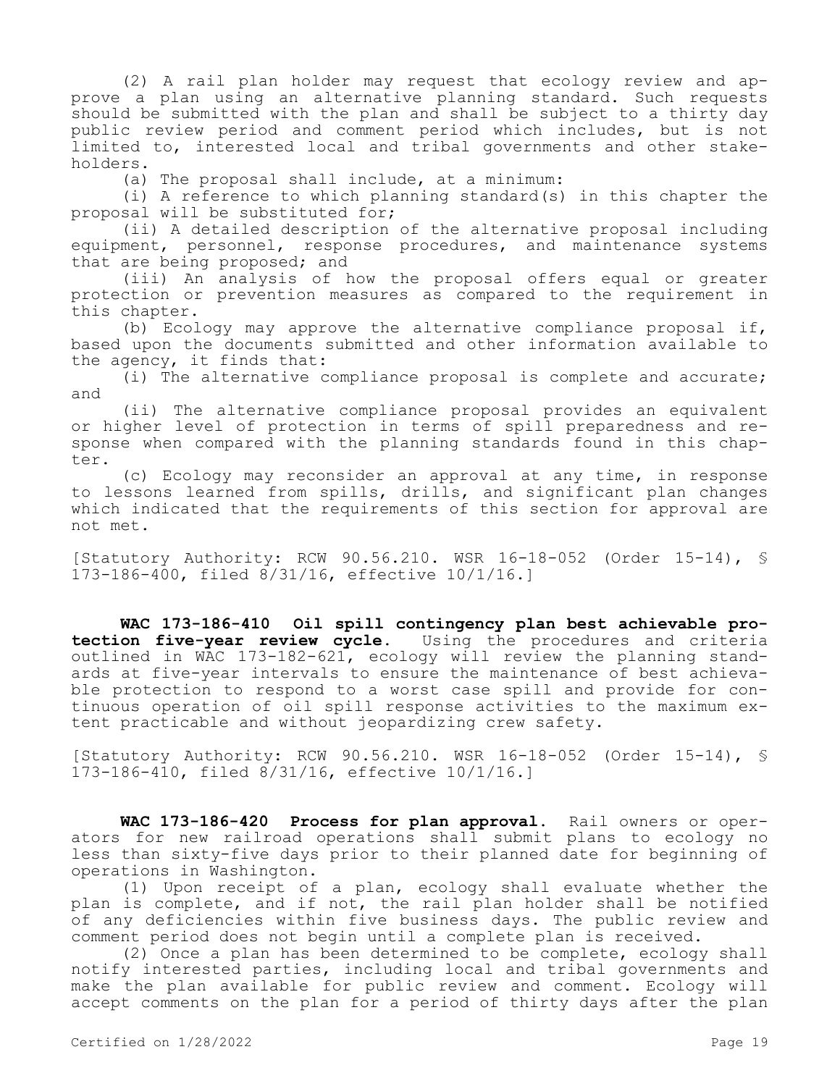(2) A rail plan holder may request that ecology review and approve a plan using an alternative planning standard. Such requests should be submitted with the plan and shall be subject to a thirty day public review period and comment period which includes, but is not limited to, interested local and tribal governments and other stakeholders.

(a) The proposal shall include, at a minimum:

(i) A reference to which planning standard(s) in this chapter the proposal will be substituted for;

(ii) A detailed description of the alternative proposal including equipment, personnel, response procedures, and maintenance systems that are being proposed; and

(iii) An analysis of how the proposal offers equal or greater protection or prevention measures as compared to the requirement in this chapter.

(b) Ecology may approve the alternative compliance proposal if, based upon the documents submitted and other information available to the agency, it finds that:

(i) The alternative compliance proposal is complete and accurate; and

(ii) The alternative compliance proposal provides an equivalent or higher level of protection in terms of spill preparedness and response when compared with the planning standards found in this chapter.

(c) Ecology may reconsider an approval at any time, in response to lessons learned from spills, drills, and significant plan changes which indicated that the requirements of this section for approval are not met.

[Statutory Authority: RCW 90.56.210. WSR 16-18-052 (Order 15-14), § 173-186-400, filed 8/31/16, effective 10/1/16.]

**WAC 173-186-410 Oil spill contingency plan best achievable protection five-year review cycle.** Using the procedures and criteria outlined in WAC 173-182-621, ecology will review the planning standards at five-year intervals to ensure the maintenance of best achievable protection to respond to a worst case spill and provide for continuous operation of oil spill response activities to the maximum extent practicable and without jeopardizing crew safety.

[Statutory Authority: RCW 90.56.210. WSR 16-18-052 (Order 15-14), § 173-186-410, filed 8/31/16, effective 10/1/16.]

**WAC 173-186-420 Process for plan approval.** Rail owners or operators for new railroad operations shall submit plans to ecology no less than sixty-five days prior to their planned date for beginning of operations in Washington.

(1) Upon receipt of a plan, ecology shall evaluate whether the plan is complete, and if not, the rail plan holder shall be notified of any deficiencies within five business days. The public review and comment period does not begin until a complete plan is received.

(2) Once a plan has been determined to be complete, ecology shall notify interested parties, including local and tribal governments and make the plan available for public review and comment. Ecology will accept comments on the plan for a period of thirty days after the plan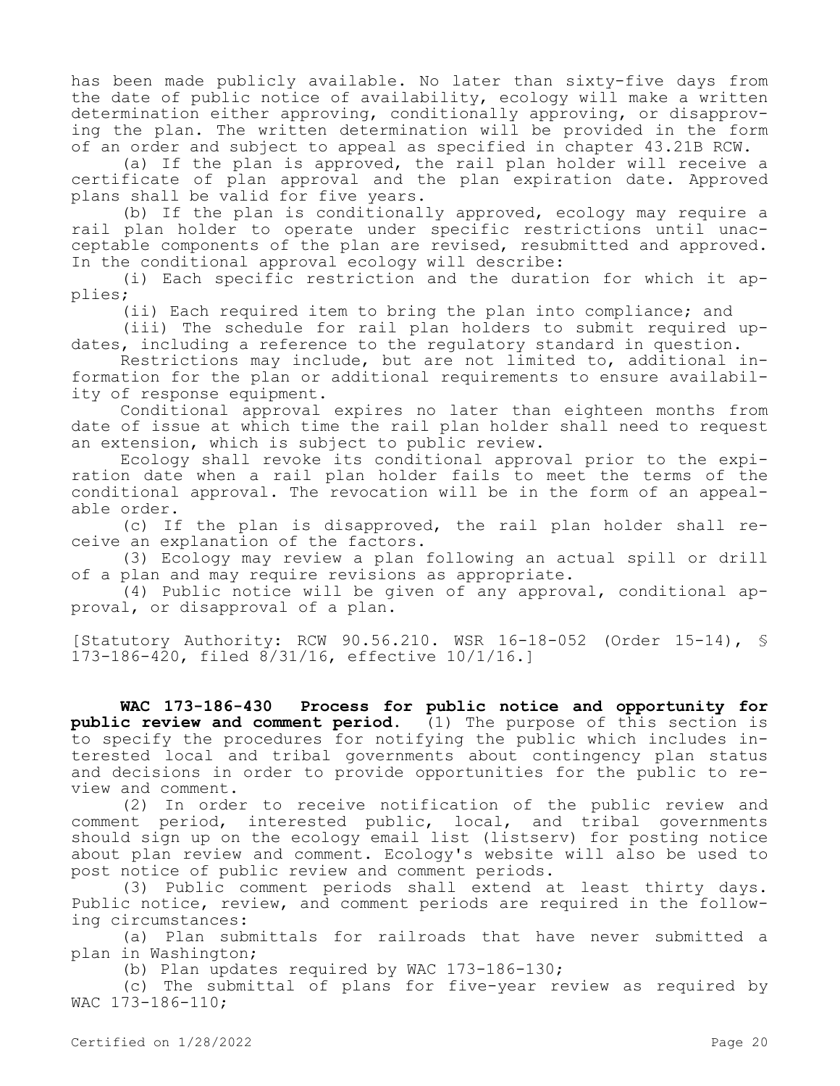has been made publicly available. No later than sixty-five days from the date of public notice of availability, ecology will make a written determination either approving, conditionally approving, or disapproving the plan. The written determination will be provided in the form of an order and subject to appeal as specified in chapter 43.21B RCW.

(a) If the plan is approved, the rail plan holder will receive a certificate of plan approval and the plan expiration date. Approved plans shall be valid for five years.

(b) If the plan is conditionally approved, ecology may require a rail plan holder to operate under specific restrictions until unacceptable components of the plan are revised, resubmitted and approved. In the conditional approval ecology will describe:

(i) Each specific restriction and the duration for which it applies;

(ii) Each required item to bring the plan into compliance; and

(iii) The schedule for rail plan holders to submit required updates, including a reference to the regulatory standard in question.

Restrictions may include, but are not limited to, additional information for the plan or additional requirements to ensure availability of response equipment.

Conditional approval expires no later than eighteen months from date of issue at which time the rail plan holder shall need to request an extension, which is subject to public review.

Ecology shall revoke its conditional approval prior to the expiration date when a rail plan holder fails to meet the terms of the conditional approval. The revocation will be in the form of an appealable order.

(c) If the plan is disapproved, the rail plan holder shall receive an explanation of the factors.

(3) Ecology may review a plan following an actual spill or drill of a plan and may require revisions as appropriate.

(4) Public notice will be given of any approval, conditional approval, or disapproval of a plan.

[Statutory Authority: RCW 90.56.210. WSR 16-18-052 (Order 15-14), § 173-186-420, filed 8/31/16, effective 10/1/16.]

**WAC 173-186-430 Process for public notice and opportunity for public review and comment period.** (1) The purpose of this section is to specify the procedures for notifying the public which includes interested local and tribal governments about contingency plan status and decisions in order to provide opportunities for the public to review and comment.

(2) In order to receive notification of the public review and comment period, interested public, local, and tribal governments should sign up on the ecology email list (listserv) for posting notice about plan review and comment. Ecology's website will also be used to post notice of public review and comment periods.

(3) Public comment periods shall extend at least thirty days. Public notice, review, and comment periods are required in the following circumstances:

(a) Plan submittals for railroads that have never submitted a plan in Washington;

(b) Plan updates required by WAC 173-186-130;

(c) The submittal of plans for five-year review as required by WAC 173-186-110;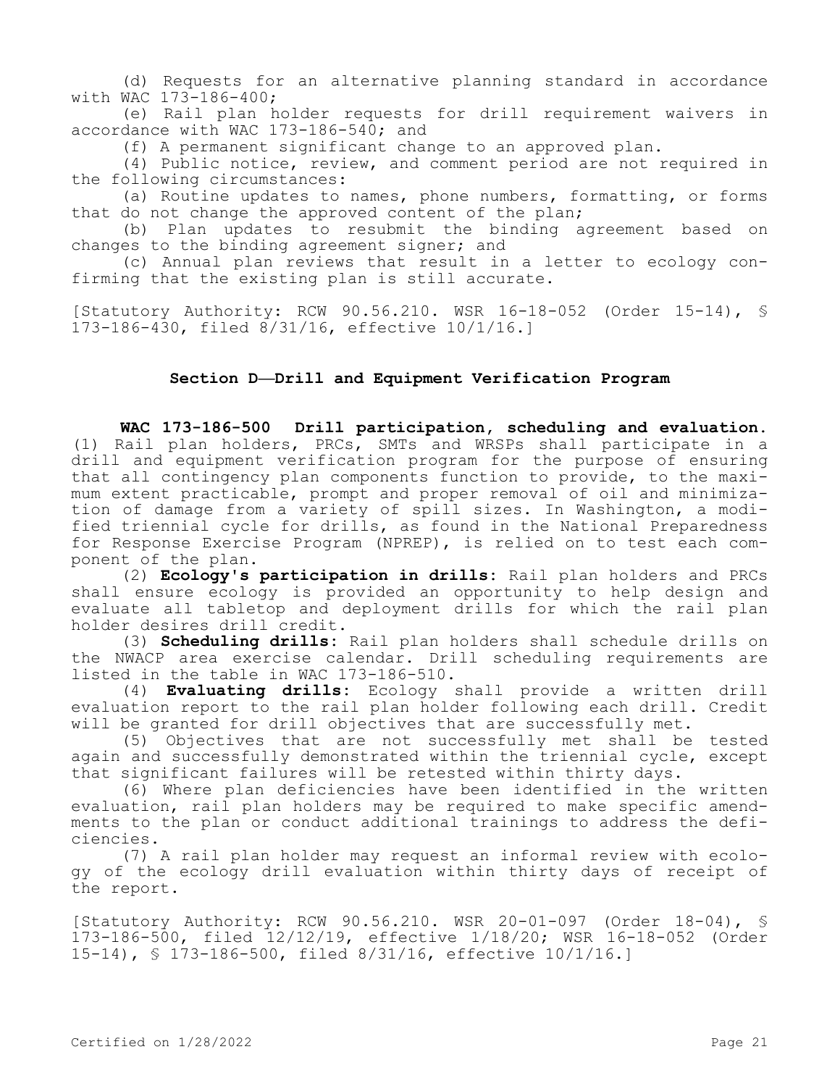(d) Requests for an alternative planning standard in accordance with WAC 173-186-400;

(e) Rail plan holder requests for drill requirement waivers in accordance with WAC 173-186-540; and

(f) A permanent significant change to an approved plan.

(4) Public notice, review, and comment period are not required in the following circumstances:

(a) Routine updates to names, phone numbers, formatting, or forms that do not change the approved content of the plan;

(b) Plan updates to resubmit the binding agreement based on changes to the binding agreement signer; and

(c) Annual plan reviews that result in a letter to ecology confirming that the existing plan is still accurate.

[Statutory Authority: RCW 90.56.210. WSR 16-18-052 (Order 15-14), § 173-186-430, filed 8/31/16, effective 10/1/16.]

# **Section D—Drill and Equipment Verification Program**

**WAC 173-186-500 Drill participation, scheduling and evaluation.**  (1) Rail plan holders, PRCs, SMTs and WRSPs shall participate in a drill and equipment verification program for the purpose of ensuring that all contingency plan components function to provide, to the maximum extent practicable, prompt and proper removal of oil and minimization of damage from a variety of spill sizes. In Washington, a modified triennial cycle for drills, as found in the National Preparedness for Response Exercise Program (NPREP), is relied on to test each component of the plan.

(2) **Ecology's participation in drills:** Rail plan holders and PRCs shall ensure ecology is provided an opportunity to help design and evaluate all tabletop and deployment drills for which the rail plan holder desires drill credit.

(3) **Scheduling drills:** Rail plan holders shall schedule drills on the NWACP area exercise calendar. Drill scheduling requirements are listed in the table in WAC 173-186-510.

(4) **Evaluating drills:** Ecology shall provide a written drill evaluation report to the rail plan holder following each drill. Credit will be granted for drill objectives that are successfully met.

(5) Objectives that are not successfully met shall be tested again and successfully demonstrated within the triennial cycle, except that significant failures will be retested within thirty days.

(6) Where plan deficiencies have been identified in the written evaluation, rail plan holders may be required to make specific amendments to the plan or conduct additional trainings to address the deficiencies.

(7) A rail plan holder may request an informal review with ecology of the ecology drill evaluation within thirty days of receipt of the report.

[Statutory Authority: RCW 90.56.210. WSR 20-01-097 (Order 18-04), § 173-186-500, filed 12/12/19, effective 1/18/20; WSR 16-18-052 (Order 15-14), § 173-186-500, filed 8/31/16, effective 10/1/16.]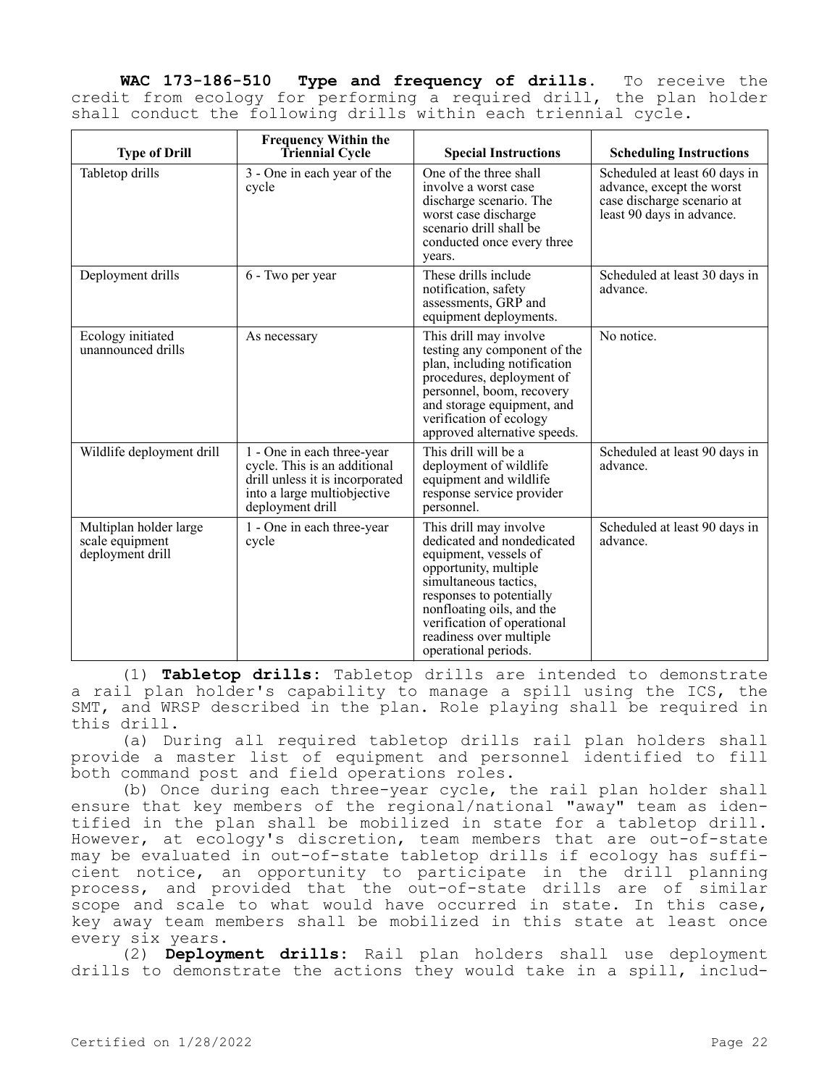**WAC 173-186-510 Type and frequency of drills.** To receive the credit from ecology for performing a required drill, the plan holder shall conduct the following drills within each triennial cycle.

| <b>Type of Drill</b>                                          | <b>Frequency Within the</b><br><b>Triennial Cycle</b>                                                                                            | <b>Special Instructions</b>                                                                                                                                                                                                                                                | <b>Scheduling Instructions</b>                                                                                        |
|---------------------------------------------------------------|--------------------------------------------------------------------------------------------------------------------------------------------------|----------------------------------------------------------------------------------------------------------------------------------------------------------------------------------------------------------------------------------------------------------------------------|-----------------------------------------------------------------------------------------------------------------------|
| Tabletop drills                                               | 3 - One in each year of the<br>cycle                                                                                                             | One of the three shall<br>involve a worst case<br>discharge scenario. The<br>worst case discharge<br>scenario drill shall be<br>conducted once every three<br>years.                                                                                                       | Scheduled at least 60 days in<br>advance, except the worst<br>case discharge scenario at<br>least 90 days in advance. |
| Deployment drills                                             | 6 - Two per year                                                                                                                                 | These drills include<br>notification, safety<br>assessments, GRP and<br>equipment deployments.                                                                                                                                                                             | Scheduled at least 30 days in<br>advance.                                                                             |
| Ecology initiated<br>unannounced drills                       | As necessary                                                                                                                                     | This drill may involve<br>testing any component of the<br>plan, including notification<br>procedures, deployment of<br>personnel, boom, recovery<br>and storage equipment, and<br>verification of ecology<br>approved alternative speeds.                                  | No notice.                                                                                                            |
| Wildlife deployment drill                                     | 1 - One in each three-year<br>cycle. This is an additional<br>drill unless it is incorporated<br>into a large multiobjective<br>deployment drill | This drill will be a<br>deployment of wildlife<br>equipment and wildlife<br>response service provider<br>personnel.                                                                                                                                                        | Scheduled at least 90 days in<br>advance.                                                                             |
| Multiplan holder large<br>scale equipment<br>deployment drill | 1 - One in each three-year<br>cycle                                                                                                              | This drill may involve<br>dedicated and nondedicated<br>equipment, vessels of<br>opportunity, multiple<br>simultaneous tactics,<br>responses to potentially<br>nonfloating oils, and the<br>verification of operational<br>readiness over multiple<br>operational periods. | Scheduled at least 90 days in<br>advance.                                                                             |

(1) **Tabletop drills:** Tabletop drills are intended to demonstrate a rail plan holder's capability to manage a spill using the ICS, the SMT, and WRSP described in the plan. Role playing shall be required in this drill.

(a) During all required tabletop drills rail plan holders shall provide a master list of equipment and personnel identified to fill both command post and field operations roles.

(b) Once during each three-year cycle, the rail plan holder shall ensure that key members of the regional/national "away" team as identified in the plan shall be mobilized in state for a tabletop drill. However, at ecology's discretion, team members that are out-of-state may be evaluated in out-of-state tabletop drills if ecology has sufficient notice, an opportunity to participate in the drill planning process, and provided that the out-of-state drills are of similar scope and scale to what would have occurred in state. In this case, key away team members shall be mobilized in this state at least once every six years.

(2) **Deployment drills:** Rail plan holders shall use deployment drills to demonstrate the actions they would take in a spill, includ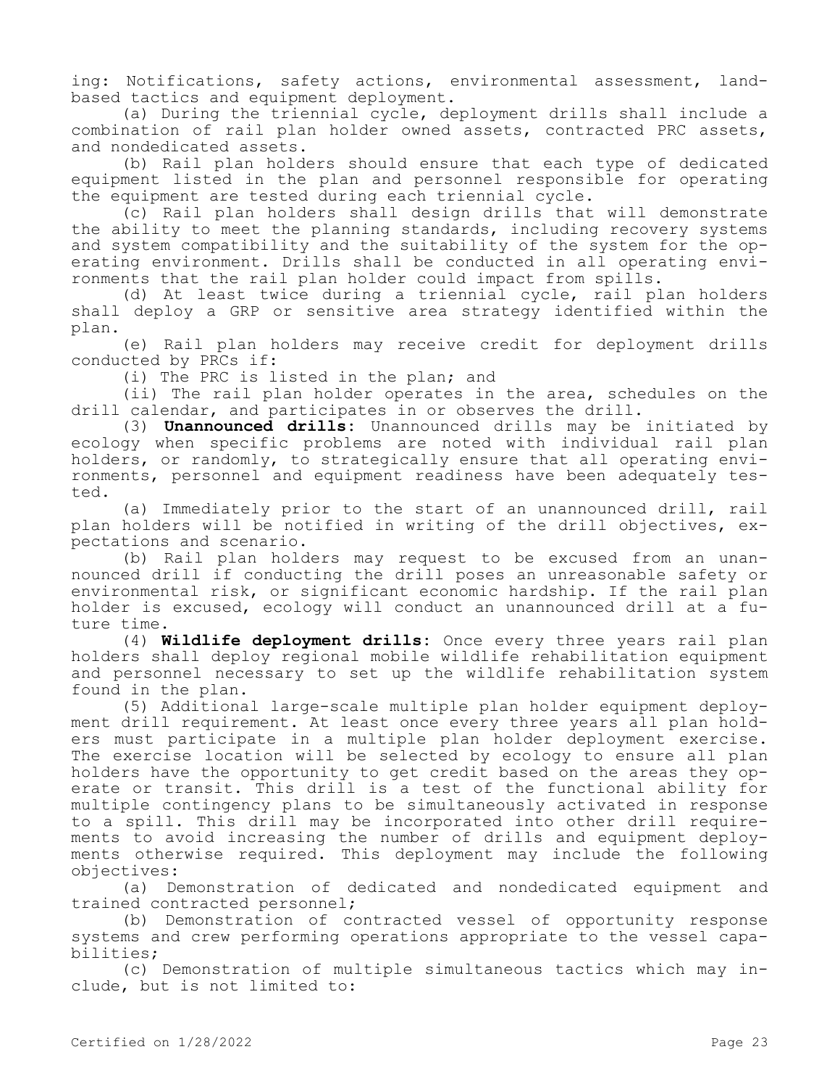ing: Notifications, safety actions, environmental assessment, landbased tactics and equipment deployment.

(a) During the triennial cycle, deployment drills shall include a combination of rail plan holder owned assets, contracted PRC assets, and nondedicated assets.

(b) Rail plan holders should ensure that each type of dedicated equipment listed in the plan and personnel responsible for operating the equipment are tested during each triennial cycle.

(c) Rail plan holders shall design drills that will demonstrate the ability to meet the planning standards, including recovery systems and system compatibility and the suitability of the system for the operating environment. Drills shall be conducted in all operating environments that the rail plan holder could impact from spills.

(d) At least twice during a triennial cycle, rail plan holders shall deploy a GRP or sensitive area strategy identified within the plan.

(e) Rail plan holders may receive credit for deployment drills conducted by PRCs if:

(i) The PRC is listed in the plan; and

(ii) The rail plan holder operates in the area, schedules on the drill calendar, and participates in or observes the drill.

(3) **Unannounced drills:** Unannounced drills may be initiated by ecology when specific problems are noted with individual rail plan holders, or randomly, to strategically ensure that all operating environments, personnel and equipment readiness have been adequately tested.

(a) Immediately prior to the start of an unannounced drill, rail plan holders will be notified in writing of the drill objectives, expectations and scenario.

(b) Rail plan holders may request to be excused from an unannounced drill if conducting the drill poses an unreasonable safety or environmental risk, or significant economic hardship. If the rail plan holder is excused, ecology will conduct an unannounced drill at a future time.

(4) **Wildlife deployment drills:** Once every three years rail plan holders shall deploy regional mobile wildlife rehabilitation equipment and personnel necessary to set up the wildlife rehabilitation system found in the plan.

(5) Additional large-scale multiple plan holder equipment deployment drill requirement. At least once every three years all plan holders must participate in a multiple plan holder deployment exercise. The exercise location will be selected by ecology to ensure all plan holders have the opportunity to get credit based on the areas they operate or transit. This drill is a test of the functional ability for multiple contingency plans to be simultaneously activated in response to a spill. This drill may be incorporated into other drill requirements to avoid increasing the number of drills and equipment deployments otherwise required. This deployment may include the following objectives:

(a) Demonstration of dedicated and nondedicated equipment and trained contracted personnel;

(b) Demonstration of contracted vessel of opportunity response systems and crew performing operations appropriate to the vessel capabilities;

(c) Demonstration of multiple simultaneous tactics which may include, but is not limited to: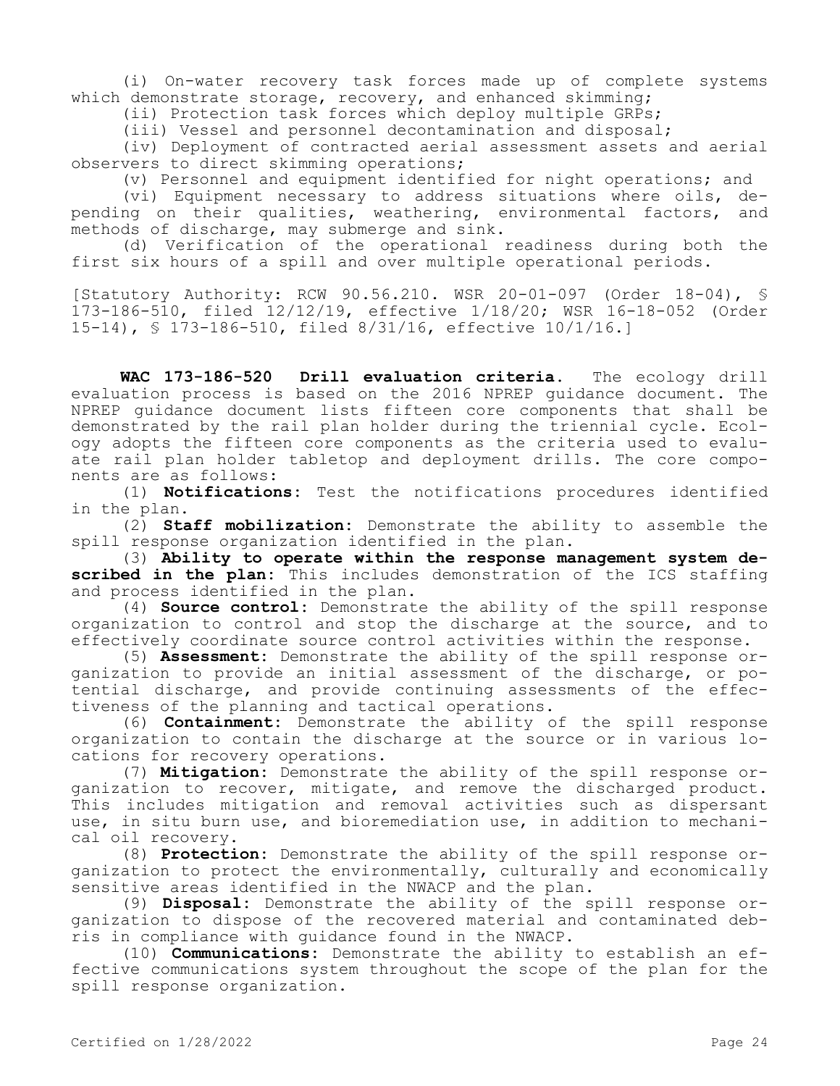(i) On-water recovery task forces made up of complete systems which demonstrate storage, recovery, and enhanced skimming;

(ii) Protection task forces which deploy multiple GRPs;

(iii) Vessel and personnel decontamination and disposal;

(iv) Deployment of contracted aerial assessment assets and aerial observers to direct skimming operations;

(v) Personnel and equipment identified for night operations; and

(vi) Equipment necessary to address situations where oils, depending on their qualities, weathering, environmental factors, and methods of discharge, may submerge and sink.

(d) Verification of the operational readiness during both the first six hours of a spill and over multiple operational periods.

[Statutory Authority: RCW 90.56.210. WSR 20-01-097 (Order 18-04), § 173-186-510, filed 12/12/19, effective 1/18/20; WSR 16-18-052 (Order 15-14), § 173-186-510, filed 8/31/16, effective 10/1/16.]

**WAC 173-186-520 Drill evaluation criteria.** The ecology drill evaluation process is based on the 2016 NPREP guidance document. The NPREP guidance document lists fifteen core components that shall be demonstrated by the rail plan holder during the triennial cycle. Ecology adopts the fifteen core components as the criteria used to evaluate rail plan holder tabletop and deployment drills. The core components are as follows:

(1) **Notifications:** Test the notifications procedures identified in the plan.

(2) **Staff mobilization:** Demonstrate the ability to assemble the spill response organization identified in the plan.

(3) **Ability to operate within the response management system described in the plan:** This includes demonstration of the ICS staffing and process identified in the plan.

(4) **Source control:** Demonstrate the ability of the spill response organization to control and stop the discharge at the source, and to effectively coordinate source control activities within the response.

(5) **Assessment:** Demonstrate the ability of the spill response organization to provide an initial assessment of the discharge, or potential discharge, and provide continuing assessments of the effectiveness of the planning and tactical operations.

(6) **Containment:** Demonstrate the ability of the spill response organization to contain the discharge at the source or in various locations for recovery operations.

(7) **Mitigation:** Demonstrate the ability of the spill response organization to recover, mitigate, and remove the discharged product. This includes mitigation and removal activities such as dispersant use, in situ burn use, and bioremediation use, in addition to mechanical oil recovery.

(8) **Protection:** Demonstrate the ability of the spill response organization to protect the environmentally, culturally and economically sensitive areas identified in the NWACP and the plan.

(9) **Disposal:** Demonstrate the ability of the spill response organization to dispose of the recovered material and contaminated debris in compliance with guidance found in the NWACP.

(10) **Communications:** Demonstrate the ability to establish an effective communications system throughout the scope of the plan for the spill response organization.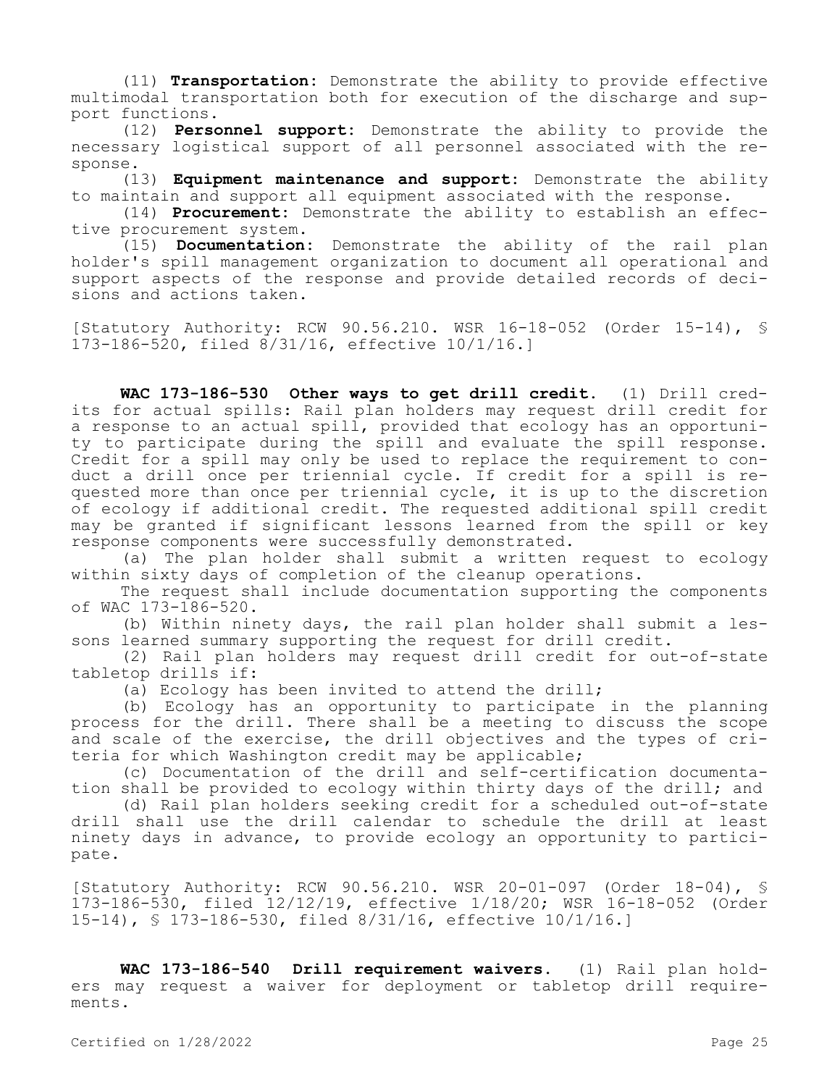(11) **Transportation:** Demonstrate the ability to provide effective multimodal transportation both for execution of the discharge and support functions.

(12) **Personnel support:** Demonstrate the ability to provide the necessary logistical support of all personnel associated with the response.

(13) **Equipment maintenance and support:** Demonstrate the ability to maintain and support all equipment associated with the response.

(14) **Procurement:** Demonstrate the ability to establish an effective procurement system.

(15) **Documentation:** Demonstrate the ability of the rail plan holder's spill management organization to document all operational and support aspects of the response and provide detailed records of decisions and actions taken.

[Statutory Authority: RCW 90.56.210. WSR 16-18-052 (Order 15-14), § 173-186-520, filed 8/31/16, effective 10/1/16.]

**WAC 173-186-530 Other ways to get drill credit.** (1) Drill credits for actual spills: Rail plan holders may request drill credit for a response to an actual spill, provided that ecology has an opportunity to participate during the spill and evaluate the spill response. Credit for a spill may only be used to replace the requirement to conduct a drill once per triennial cycle. If credit for a spill is requested more than once per triennial cycle, it is up to the discretion of ecology if additional credit. The requested additional spill credit may be granted if significant lessons learned from the spill or key response components were successfully demonstrated.

(a) The plan holder shall submit a written request to ecology within sixty days of completion of the cleanup operations.

The request shall include documentation supporting the components of WAC 173-186-520.

(b) Within ninety days, the rail plan holder shall submit a lessons learned summary supporting the request for drill credit.

(2) Rail plan holders may request drill credit for out-of-state tabletop drills if:

(a) Ecology has been invited to attend the drill;

(b) Ecology has an opportunity to participate in the planning process for the drill. There shall be a meeting to discuss the scope and scale of the exercise, the drill objectives and the types of criteria for which Washington credit may be applicable;

(c) Documentation of the drill and self-certification documentation shall be provided to ecology within thirty days of the drill; and

(d) Rail plan holders seeking credit for a scheduled out-of-state drill shall use the drill calendar to schedule the drill at least ninety days in advance, to provide ecology an opportunity to participate.

[Statutory Authority: RCW 90.56.210. WSR 20-01-097 (Order 18-04), § 173-186-530, filed 12/12/19, effective 1/18/20; WSR 16-18-052 (Order 15-14), § 173-186-530, filed 8/31/16, effective 10/1/16.]

**WAC 173-186-540 Drill requirement waivers.** (1) Rail plan holders may request a waiver for deployment or tabletop drill requirements.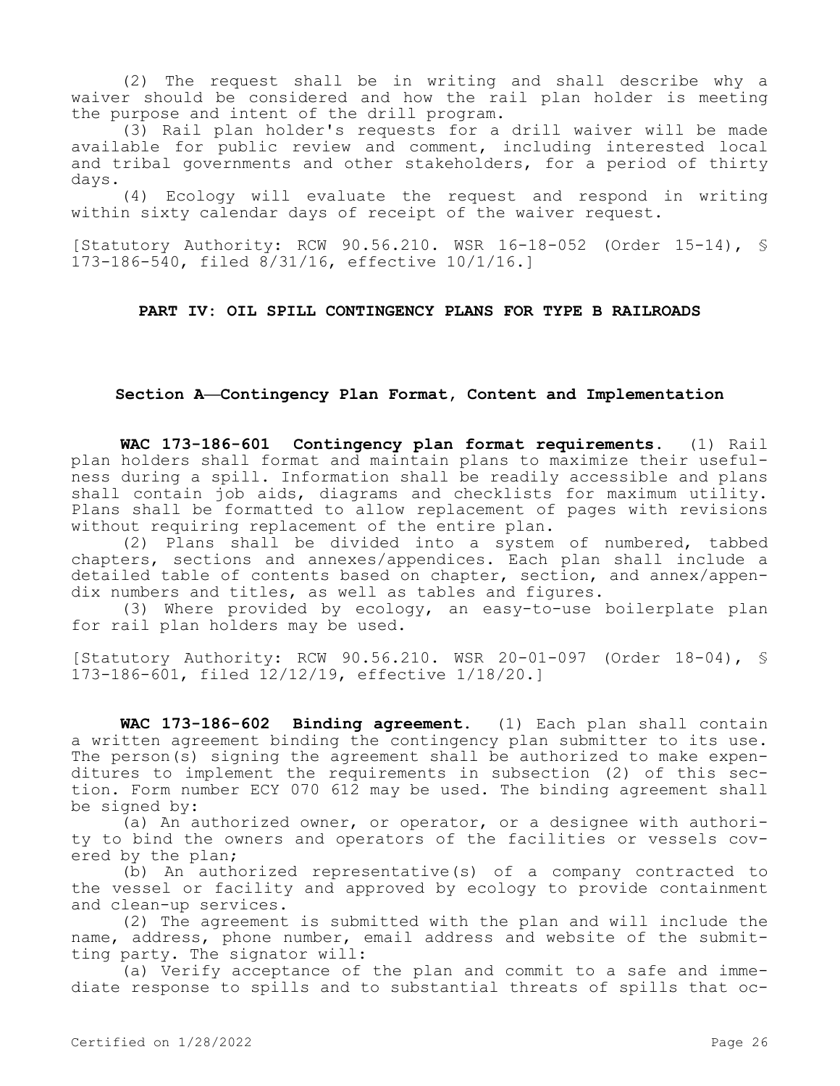(2) The request shall be in writing and shall describe why a waiver should be considered and how the rail plan holder is meeting the purpose and intent of the drill program.

(3) Rail plan holder's requests for a drill waiver will be made available for public review and comment, including interested local and tribal governments and other stakeholders, for a period of thirty days.

(4) Ecology will evaluate the request and respond in writing within sixty calendar days of receipt of the waiver request.

[Statutory Authority: RCW 90.56.210. WSR 16-18-052 (Order 15-14), § 173-186-540, filed 8/31/16, effective 10/1/16.]

# **PART IV: OIL SPILL CONTINGENCY PLANS FOR TYPE B RAILROADS**

# **Section A—Contingency Plan Format, Content and Implementation**

**WAC 173-186-601 Contingency plan format requirements.** (1) Rail plan holders shall format and maintain plans to maximize their usefulness during a spill. Information shall be readily accessible and plans shall contain job aids, diagrams and checklists for maximum utility. Plans shall be formatted to allow replacement of pages with revisions without requiring replacement of the entire plan.

(2) Plans shall be divided into a system of numbered, tabbed chapters, sections and annexes/appendices. Each plan shall include a detailed table of contents based on chapter, section, and annex/appendix numbers and titles, as well as tables and figures.

(3) Where provided by ecology, an easy-to-use boilerplate plan for rail plan holders may be used.

[Statutory Authority: RCW 90.56.210. WSR 20-01-097 (Order 18-04), § 173-186-601, filed 12/12/19, effective 1/18/20.]

**WAC 173-186-602 Binding agreement.** (1) Each plan shall contain a written agreement binding the contingency plan submitter to its use. The person(s) signing the agreement shall be authorized to make expenditures to implement the requirements in subsection (2) of this section. Form number ECY 070 612 may be used. The binding agreement shall be signed by:

(a) An authorized owner, or operator, or a designee with authority to bind the owners and operators of the facilities or vessels covered by the plan;

(b) An authorized representative(s) of a company contracted to the vessel or facility and approved by ecology to provide containment and clean-up services.

(2) The agreement is submitted with the plan and will include the name, address, phone number, email address and website of the submitting party. The signator will:

(a) Verify acceptance of the plan and commit to a safe and immediate response to spills and to substantial threats of spills that oc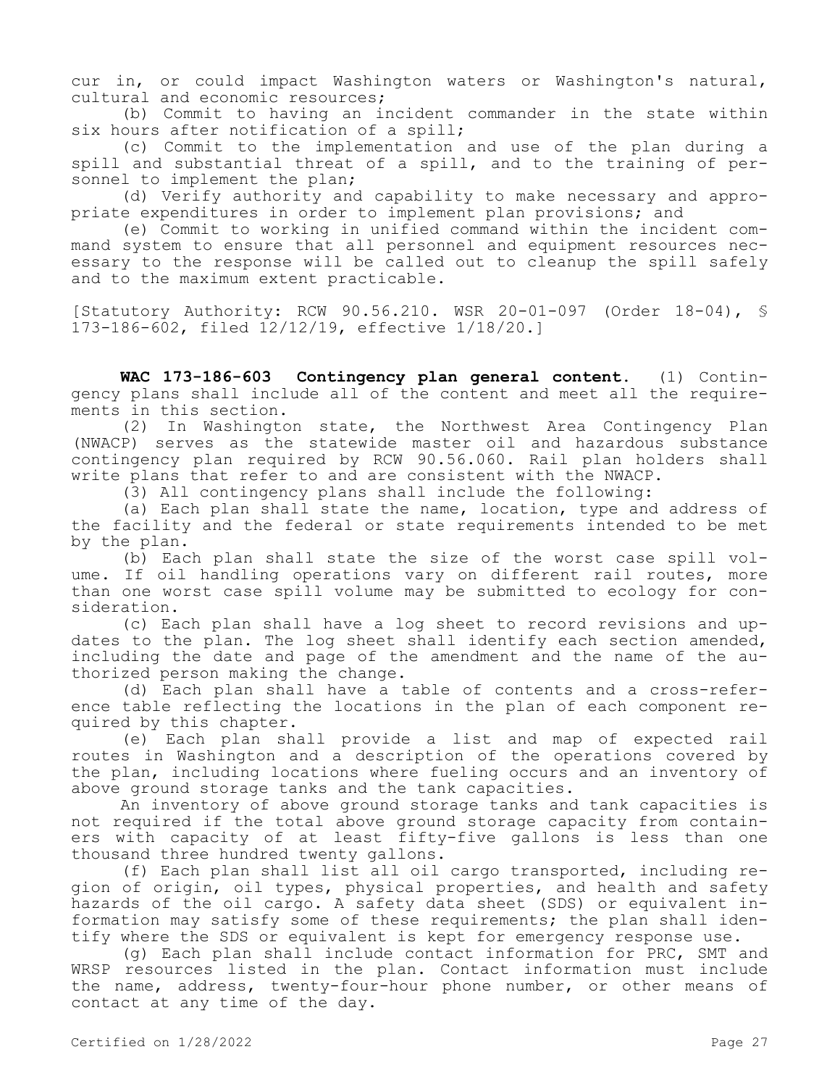cur in, or could impact Washington waters or Washington's natural, cultural and economic resources;

(b) Commit to having an incident commander in the state within six hours after notification of a spill;

(c) Commit to the implementation and use of the plan during a spill and substantial threat of a spill, and to the training of personnel to implement the plan;

(d) Verify authority and capability to make necessary and appropriate expenditures in order to implement plan provisions; and

(e) Commit to working in unified command within the incident command system to ensure that all personnel and equipment resources necessary to the response will be called out to cleanup the spill safely and to the maximum extent practicable.

[Statutory Authority: RCW 90.56.210. WSR 20-01-097 (Order 18-04), § 173-186-602, filed 12/12/19, effective 1/18/20.]

**WAC 173-186-603 Contingency plan general content.** (1) Contingency plans shall include all of the content and meet all the requirements in this section.

(2) In Washington state, the Northwest Area Contingency Plan (NWACP) serves as the statewide master oil and hazardous substance contingency plan required by RCW 90.56.060. Rail plan holders shall write plans that refer to and are consistent with the NWACP.

(3) All contingency plans shall include the following:

(a) Each plan shall state the name, location, type and address of the facility and the federal or state requirements intended to be met by the plan.

(b) Each plan shall state the size of the worst case spill volume. If oil handling operations vary on different rail routes, more than one worst case spill volume may be submitted to ecology for consideration.

(c) Each plan shall have a log sheet to record revisions and updates to the plan. The log sheet shall identify each section amended, including the date and page of the amendment and the name of the authorized person making the change.

(d) Each plan shall have a table of contents and a cross-reference table reflecting the locations in the plan of each component required by this chapter.

(e) Each plan shall provide a list and map of expected rail routes in Washington and a description of the operations covered by the plan, including locations where fueling occurs and an inventory of above ground storage tanks and the tank capacities.

An inventory of above ground storage tanks and tank capacities is not required if the total above ground storage capacity from containers with capacity of at least fifty-five gallons is less than one thousand three hundred twenty gallons.

(f) Each plan shall list all oil cargo transported, including region of origin, oil types, physical properties, and health and safety hazards of the oil cargo. A safety data sheet (SDS) or equivalent information may satisfy some of these requirements; the plan shall identify where the SDS or equivalent is kept for emergency response use.

(g) Each plan shall include contact information for PRC, SMT and WRSP resources listed in the plan. Contact information must include the name, address, twenty-four-hour phone number, or other means of contact at any time of the day.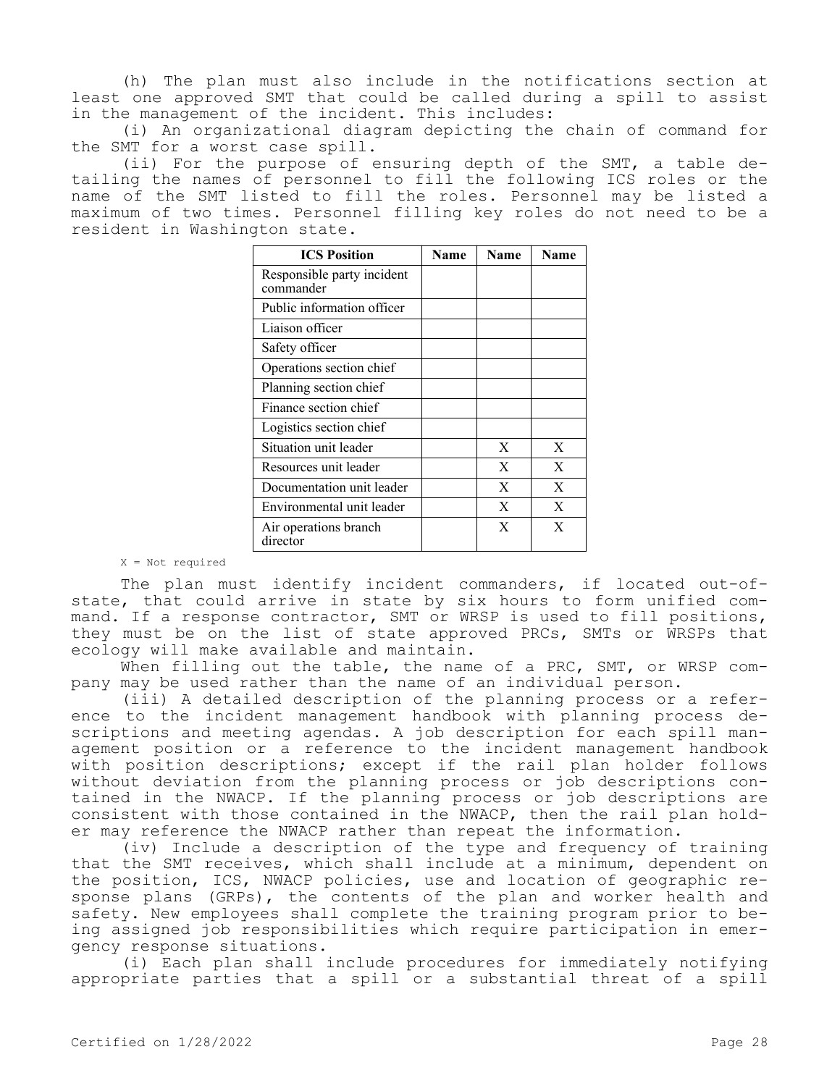(h) The plan must also include in the notifications section at least one approved SMT that could be called during a spill to assist in the management of the incident. This includes:

(i) An organizational diagram depicting the chain of command for the SMT for a worst case spill.

(ii) For the purpose of ensuring depth of the SMT, a table detailing the names of personnel to fill the following ICS roles or the name of the SMT listed to fill the roles. Personnel may be listed a maximum of two times. Personnel filling key roles do not need to be a resident in Washington state.

| <b>ICS Position</b>                     | Name | Name | <b>Name</b> |
|-----------------------------------------|------|------|-------------|
| Responsible party incident<br>commander |      |      |             |
| Public information officer              |      |      |             |
| Liaison officer                         |      |      |             |
| Safety officer                          |      |      |             |
| Operations section chief                |      |      |             |
| Planning section chief                  |      |      |             |
| Finance section chief                   |      |      |             |
| Logistics section chief                 |      |      |             |
| Situation unit leader                   |      | X    | X           |
| Resources unit leader                   |      | X    | X           |
| Documentation unit leader               |      | X    | X           |
| Environmental unit leader               |      | X    | X           |
| Air operations branch<br>director       |      | X    | X           |

X = Not required

The plan must identify incident commanders, if located out-ofstate, that could arrive in state by six hours to form unified command. If a response contractor, SMT or WRSP is used to fill positions, they must be on the list of state approved PRCs, SMTs or WRSPs that ecology will make available and maintain.

When filling out the table, the name of a PRC, SMT, or WRSP company may be used rather than the name of an individual person.

(iii) A detailed description of the planning process or a reference to the incident management handbook with planning process descriptions and meeting agendas. A job description for each spill management position or a reference to the incident management handbook with position descriptions; except if the rail plan holder follows without deviation from the planning process or job descriptions contained in the NWACP. If the planning process or job descriptions are consistent with those contained in the NWACP, then the rail plan holder may reference the NWACP rather than repeat the information.

(iv) Include a description of the type and frequency of training that the SMT receives, which shall include at a minimum, dependent on the position, ICS, NWACP policies, use and location of geographic response plans (GRPs), the contents of the plan and worker health and safety. New employees shall complete the training program prior to being assigned job responsibilities which require participation in emergency response situations.

(i) Each plan shall include procedures for immediately notifying appropriate parties that a spill or a substantial threat of a spill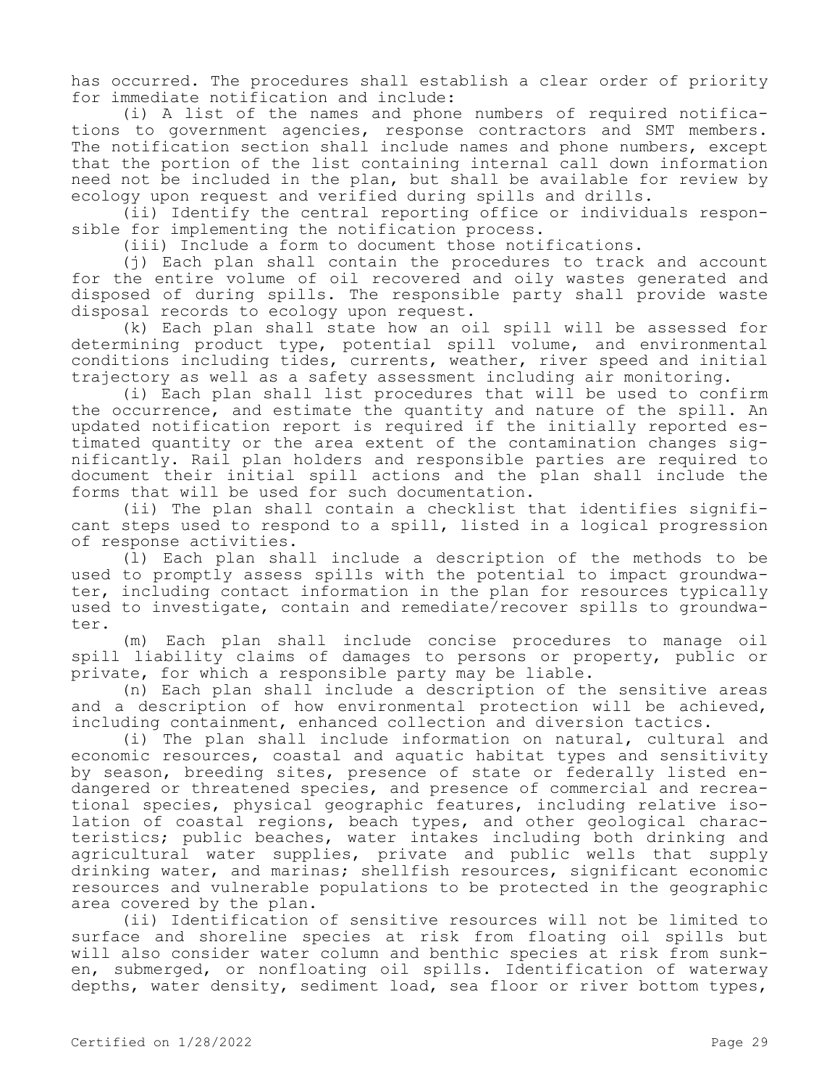has occurred. The procedures shall establish a clear order of priority for immediate notification and include:

(i) A list of the names and phone numbers of required notifications to government agencies, response contractors and SMT members. The notification section shall include names and phone numbers, except that the portion of the list containing internal call down information need not be included in the plan, but shall be available for review by ecology upon request and verified during spills and drills.

(ii) Identify the central reporting office or individuals responsible for implementing the notification process.

(iii) Include a form to document those notifications.

(j) Each plan shall contain the procedures to track and account for the entire volume of oil recovered and oily wastes generated and disposed of during spills. The responsible party shall provide waste disposal records to ecology upon request.

(k) Each plan shall state how an oil spill will be assessed for determining product type, potential spill volume, and environmental conditions including tides, currents, weather, river speed and initial trajectory as well as a safety assessment including air monitoring.

(i) Each plan shall list procedures that will be used to confirm the occurrence, and estimate the quantity and nature of the spill. An updated notification report is required if the initially reported estimated quantity or the area extent of the contamination changes significantly. Rail plan holders and responsible parties are required to document their initial spill actions and the plan shall include the forms that will be used for such documentation.

(ii) The plan shall contain a checklist that identifies significant steps used to respond to a spill, listed in a logical progression of response activities.

(l) Each plan shall include a description of the methods to be used to promptly assess spills with the potential to impact groundwater, including contact information in the plan for resources typically used to investigate, contain and remediate/recover spills to groundwater.

(m) Each plan shall include concise procedures to manage oil spill liability claims of damages to persons or property, public or private, for which a responsible party may be liable.

(n) Each plan shall include a description of the sensitive areas and a description of how environmental protection will be achieved, including containment, enhanced collection and diversion tactics.

(i) The plan shall include information on natural, cultural and economic resources, coastal and aquatic habitat types and sensitivity by season, breeding sites, presence of state or federally listed endangered or threatened species, and presence of commercial and recreational species, physical geographic features, including relative isolation of coastal regions, beach types, and other geological characteristics; public beaches, water intakes including both drinking and agricultural water supplies, private and public wells that supply drinking water, and marinas; shellfish resources, significant economic resources and vulnerable populations to be protected in the geographic area covered by the plan.

(ii) Identification of sensitive resources will not be limited to surface and shoreline species at risk from floating oil spills but will also consider water column and benthic species at risk from sunken, submerged, or nonfloating oil spills. Identification of waterway depths, water density, sediment load, sea floor or river bottom types,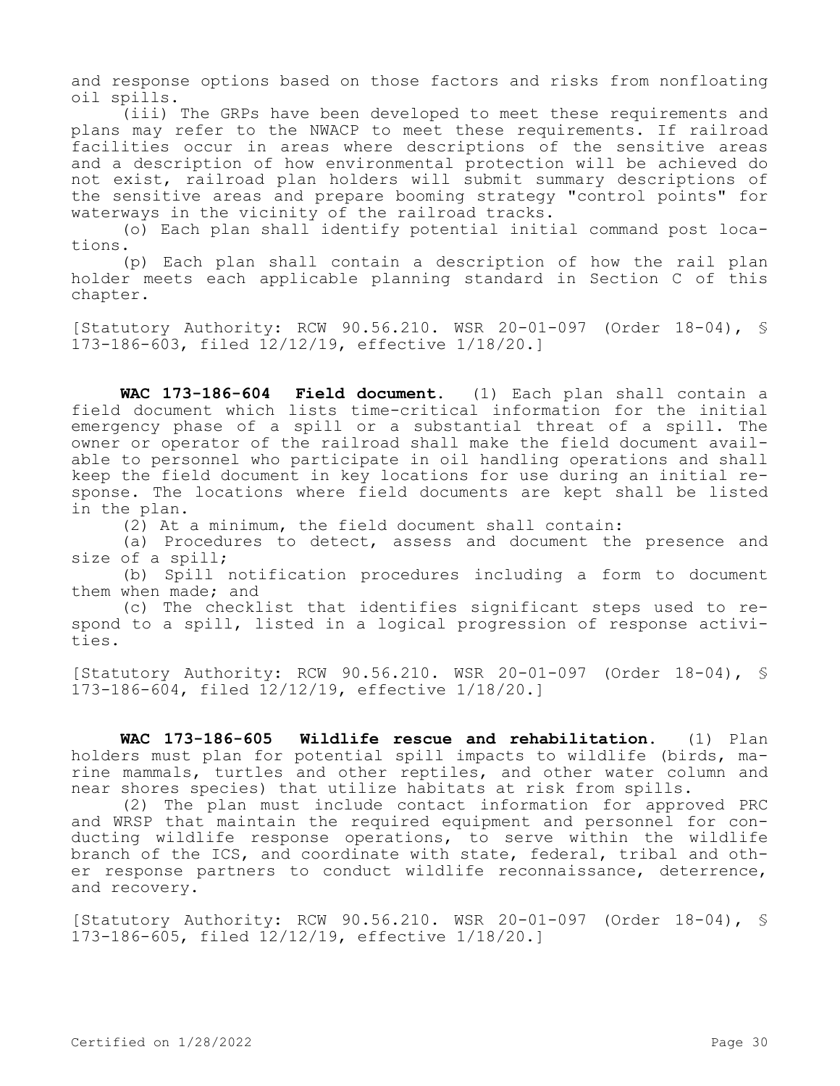and response options based on those factors and risks from nonfloating oil spills.

(iii) The GRPs have been developed to meet these requirements and plans may refer to the NWACP to meet these requirements. If railroad facilities occur in areas where descriptions of the sensitive areas and a description of how environmental protection will be achieved do not exist, railroad plan holders will submit summary descriptions of the sensitive areas and prepare booming strategy "control points" for waterways in the vicinity of the railroad tracks.

(o) Each plan shall identify potential initial command post locations.

(p) Each plan shall contain a description of how the rail plan holder meets each applicable planning standard in Section C of this chapter.

[Statutory Authority: RCW 90.56.210. WSR 20-01-097 (Order 18-04), § 173-186-603, filed 12/12/19, effective 1/18/20.]

**WAC 173-186-604 Field document.** (1) Each plan shall contain a field document which lists time-critical information for the initial emergency phase of a spill or a substantial threat of a spill. The owner or operator of the railroad shall make the field document available to personnel who participate in oil handling operations and shall keep the field document in key locations for use during an initial response. The locations where field documents are kept shall be listed in the plan.

(2) At a minimum, the field document shall contain:

(a) Procedures to detect, assess and document the presence and size of a spill;

(b) Spill notification procedures including a form to document them when made; and

(c) The checklist that identifies significant steps used to respond to a spill, listed in a logical progression of response activities.

[Statutory Authority: RCW 90.56.210. WSR 20-01-097 (Order 18-04), § 173-186-604, filed 12/12/19, effective 1/18/20.]

**WAC 173-186-605 Wildlife rescue and rehabilitation.** (1) Plan holders must plan for potential spill impacts to wildlife (birds, marine mammals, turtles and other reptiles, and other water column and near shores species) that utilize habitats at risk from spills.

(2) The plan must include contact information for approved PRC and WRSP that maintain the required equipment and personnel for conducting wildlife response operations, to serve within the wildlife branch of the ICS, and coordinate with state, federal, tribal and other response partners to conduct wildlife reconnaissance, deterrence, and recovery.

[Statutory Authority: RCW 90.56.210. WSR 20-01-097 (Order 18-04), § 173-186-605, filed 12/12/19, effective 1/18/20.]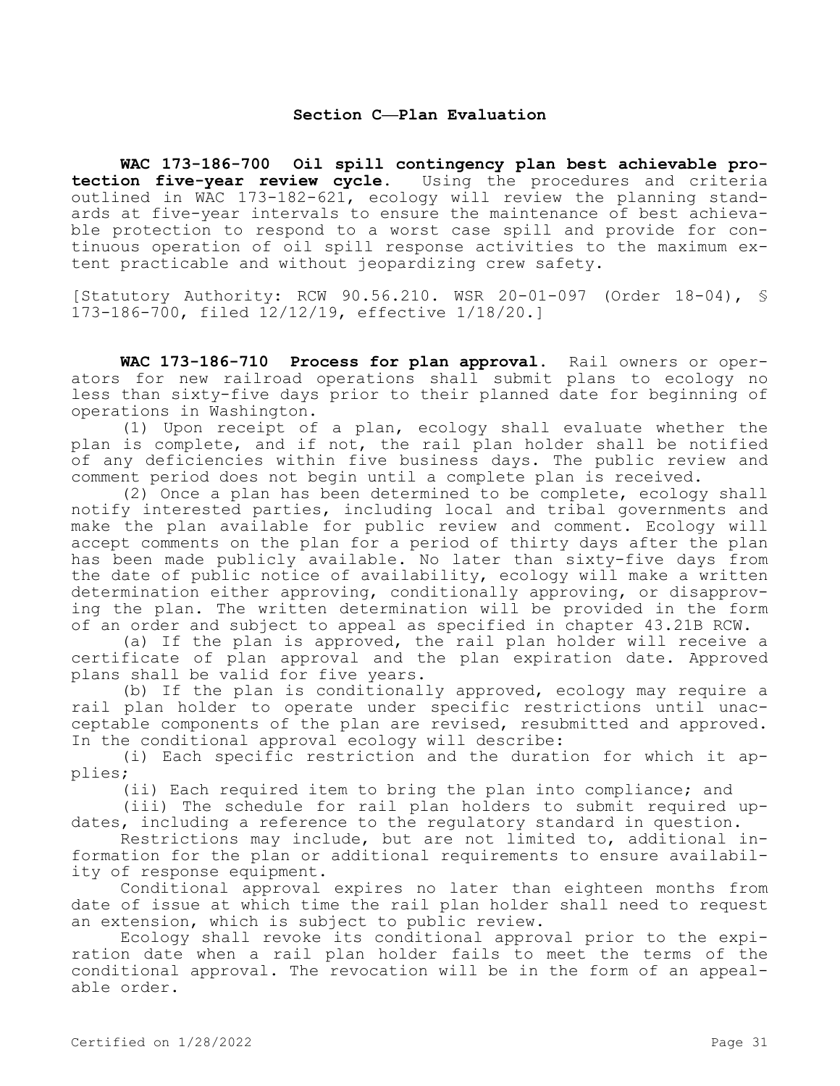# **Section C—Plan Evaluation**

**WAC 173-186-700 Oil spill contingency plan best achievable protection five-year review cycle.** Using the procedures and criteria outlined in WAC 173-182-621, ecology will review the planning standards at five-year intervals to ensure the maintenance of best achievable protection to respond to a worst case spill and provide for continuous operation of oil spill response activities to the maximum extent practicable and without jeopardizing crew safety.

[Statutory Authority: RCW 90.56.210. WSR 20-01-097 (Order 18-04), § 173-186-700, filed 12/12/19, effective 1/18/20.]

**WAC 173-186-710 Process for plan approval.** Rail owners or operators for new railroad operations shall submit plans to ecology no less than sixty-five days prior to their planned date for beginning of operations in Washington.

(1) Upon receipt of a plan, ecology shall evaluate whether the plan is complete, and if not, the rail plan holder shall be notified of any deficiencies within five business days. The public review and comment period does not begin until a complete plan is received.

(2) Once a plan has been determined to be complete, ecology shall notify interested parties, including local and tribal governments and make the plan available for public review and comment. Ecology will accept comments on the plan for a period of thirty days after the plan has been made publicly available. No later than sixty-five days from the date of public notice of availability, ecology will make a written determination either approving, conditionally approving, or disapproving the plan. The written determination will be provided in the form of an order and subject to appeal as specified in chapter 43.21B RCW.

(a) If the plan is approved, the rail plan holder will receive a certificate of plan approval and the plan expiration date. Approved plans shall be valid for five years.

(b) If the plan is conditionally approved, ecology may require a rail plan holder to operate under specific restrictions until unacceptable components of the plan are revised, resubmitted and approved. In the conditional approval ecology will describe:

(i) Each specific restriction and the duration for which it applies;

(ii) Each required item to bring the plan into compliance; and

(iii) The schedule for rail plan holders to submit required updates, including a reference to the regulatory standard in question.

Restrictions may include, but are not limited to, additional information for the plan or additional requirements to ensure availability of response equipment.

Conditional approval expires no later than eighteen months from date of issue at which time the rail plan holder shall need to request an extension, which is subject to public review.

Ecology shall revoke its conditional approval prior to the expiration date when a rail plan holder fails to meet the terms of the conditional approval. The revocation will be in the form of an appealable order.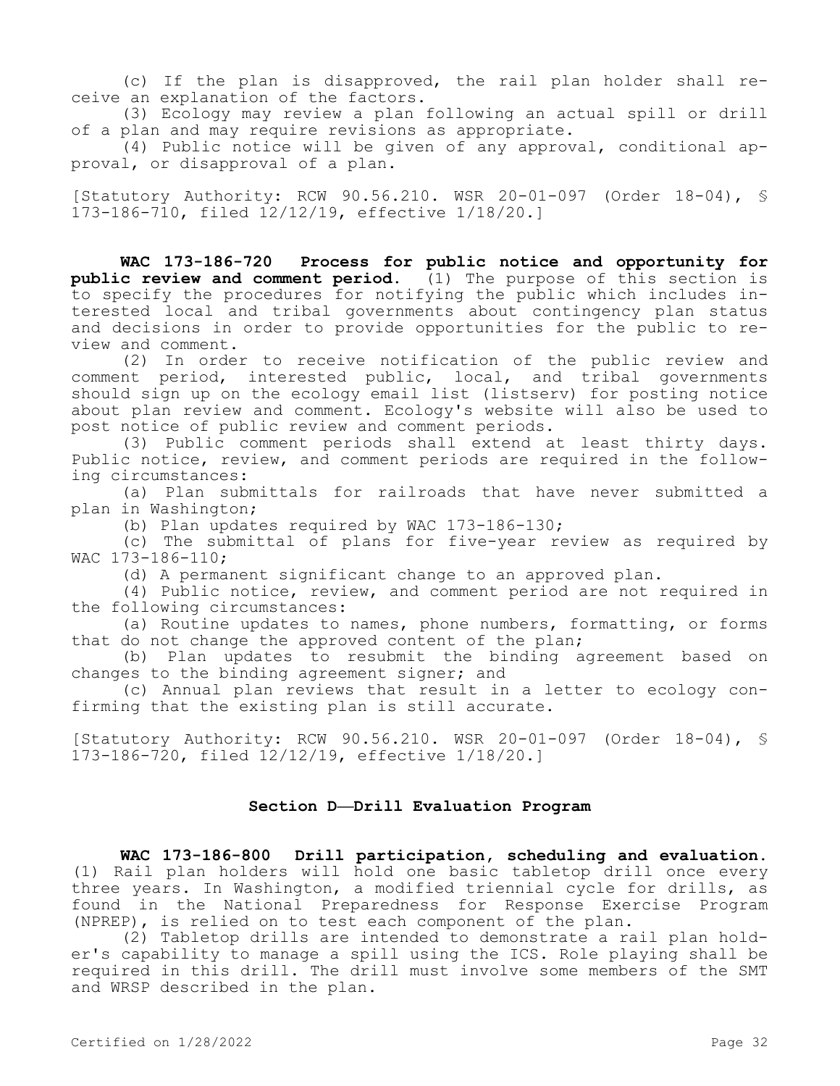(c) If the plan is disapproved, the rail plan holder shall receive an explanation of the factors.

(3) Ecology may review a plan following an actual spill or drill of a plan and may require revisions as appropriate.

(4) Public notice will be given of any approval, conditional approval, or disapproval of a plan.

[Statutory Authority: RCW 90.56.210. WSR 20-01-097 (Order 18-04), § 173-186-710, filed 12/12/19, effective 1/18/20.]

**WAC 173-186-720 Process for public notice and opportunity for public review and comment period.** (1) The purpose of this section is to specify the procedures for notifying the public which includes interested local and tribal governments about contingency plan status and decisions in order to provide opportunities for the public to review and comment.

(2) In order to receive notification of the public review and comment period, interested public, local, and tribal governments should sign up on the ecology email list (listserv) for posting notice about plan review and comment. Ecology's website will also be used to post notice of public review and comment periods.

(3) Public comment periods shall extend at least thirty days. Public notice, review, and comment periods are required in the following circumstances:

(a) Plan submittals for railroads that have never submitted a plan in Washington;

(b) Plan updates required by WAC 173-186-130;

(c) The submittal of plans for five-year review as required by WAC 173-186-110;

(d) A permanent significant change to an approved plan.

(4) Public notice, review, and comment period are not required in the following circumstances:

(a) Routine updates to names, phone numbers, formatting, or forms that do not change the approved content of the plan;

(b) Plan updates to resubmit the binding agreement based on changes to the binding agreement signer; and

(c) Annual plan reviews that result in a letter to ecology confirming that the existing plan is still accurate.

[Statutory Authority: RCW 90.56.210. WSR 20-01-097 (Order 18-04), § 173-186-720, filed 12/12/19, effective 1/18/20.]

### **Section D—Drill Evaluation Program**

**WAC 173-186-800 Drill participation, scheduling and evaluation.**  (1) Rail plan holders will hold one basic tabletop drill once every three years. In Washington, a modified triennial cycle for drills, as found in the National Preparedness for Response Exercise Program (NPREP), is relied on to test each component of the plan.

(2) Tabletop drills are intended to demonstrate a rail plan holder's capability to manage a spill using the ICS. Role playing shall be required in this drill. The drill must involve some members of the SMT and WRSP described in the plan.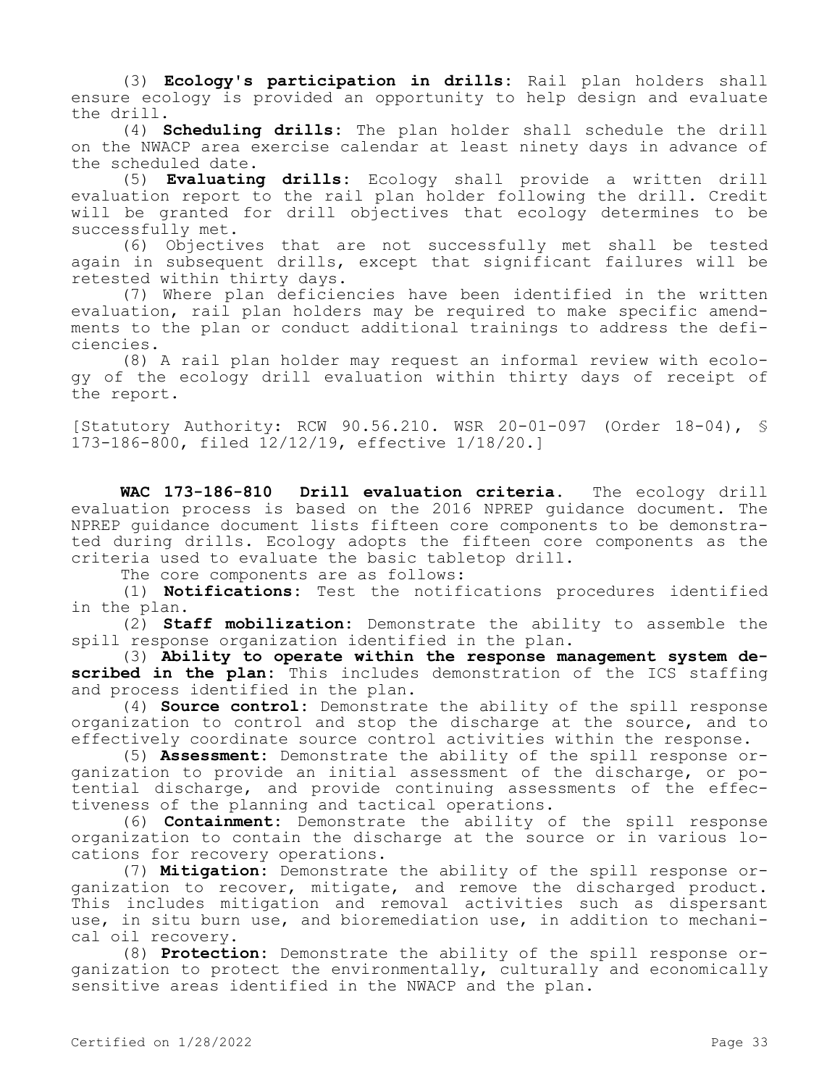(3) **Ecology's participation in drills:** Rail plan holders shall ensure ecology is provided an opportunity to help design and evaluate the drill.

(4) **Scheduling drills:** The plan holder shall schedule the drill on the NWACP area exercise calendar at least ninety days in advance of the scheduled date.

(5) **Evaluating drills:** Ecology shall provide a written drill evaluation report to the rail plan holder following the drill. Credit will be granted for drill objectives that ecology determines to be successfully met.

(6) Objectives that are not successfully met shall be tested again in subsequent drills, except that significant failures will be retested within thirty days.

(7) Where plan deficiencies have been identified in the written evaluation, rail plan holders may be required to make specific amendments to the plan or conduct additional trainings to address the deficiencies.

(8) A rail plan holder may request an informal review with ecology of the ecology drill evaluation within thirty days of receipt of the report.

[Statutory Authority: RCW 90.56.210. WSR 20-01-097 (Order 18-04), § 173-186-800, filed 12/12/19, effective 1/18/20.]

**WAC 173-186-810 Drill evaluation criteria.** The ecology drill evaluation process is based on the 2016 NPREP guidance document. The NPREP guidance document lists fifteen core components to be demonstrated during drills. Ecology adopts the fifteen core components as the criteria used to evaluate the basic tabletop drill.

The core components are as follows:

(1) **Notifications:** Test the notifications procedures identified in the plan.

(2) **Staff mobilization:** Demonstrate the ability to assemble the spill response organization identified in the plan.

(3) **Ability to operate within the response management system described in the plan:** This includes demonstration of the ICS staffing and process identified in the plan.

(4) **Source control:** Demonstrate the ability of the spill response organization to control and stop the discharge at the source, and to effectively coordinate source control activities within the response.

(5) **Assessment:** Demonstrate the ability of the spill response organization to provide an initial assessment of the discharge, or potential discharge, and provide continuing assessments of the effectiveness of the planning and tactical operations.

(6) **Containment:** Demonstrate the ability of the spill response organization to contain the discharge at the source or in various locations for recovery operations.

(7) **Mitigation:** Demonstrate the ability of the spill response organization to recover, mitigate, and remove the discharged product. This includes mitigation and removal activities such as dispersant use, in situ burn use, and bioremediation use, in addition to mechanical oil recovery.

(8) **Protection:** Demonstrate the ability of the spill response organization to protect the environmentally, culturally and economically sensitive areas identified in the NWACP and the plan.